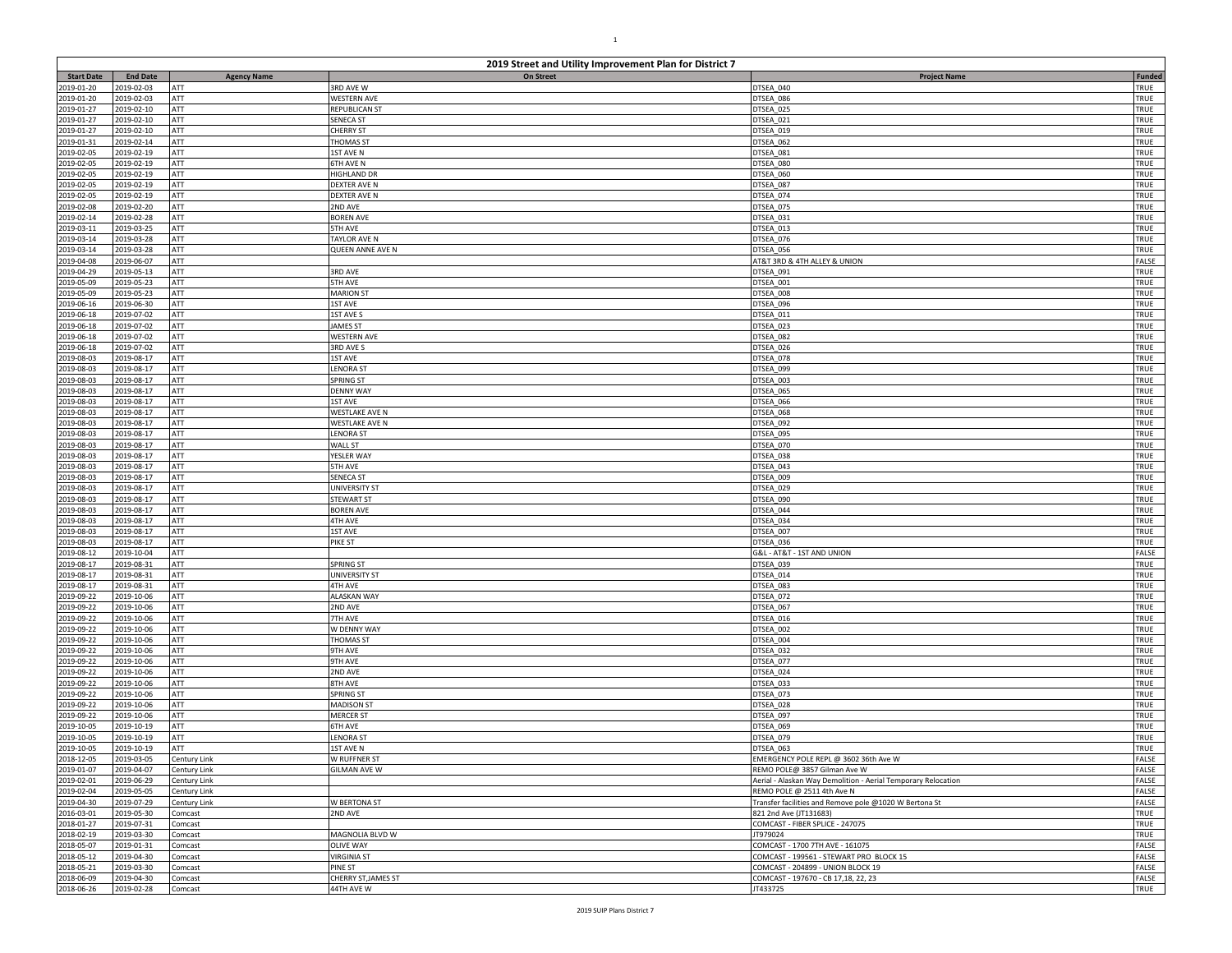|                          | 2019 Street and Utility Improvement Plan for District 7 |                    |                               |                                                               |               |  |
|--------------------------|---------------------------------------------------------|--------------------|-------------------------------|---------------------------------------------------------------|---------------|--|
| <b>Start Date</b>        | <b>End Date</b>                                         | <b>Agency Name</b> | On Street                     | <b>Project Name</b>                                           | <b>Funded</b> |  |
| 2019-01-20               | 2019-02-03                                              | ATT                | 3RD AVE W                     | DTSEA_040                                                     | TRUE          |  |
| 2019-01-20               | 2019-02-03                                              | ATT                | <b>WESTERN AVE</b>            | DTSEA_086                                                     | TRUE          |  |
| 2019-01-27               | 2019-02-10                                              | ATT                | REPUBLICAN ST                 | DTSEA_025                                                     | TRUE          |  |
| 2019-01-27<br>2019-01-27 | 2019-02-10<br>2019-02-10                                | ATT<br>ATT         | SENECA ST<br><b>CHERRY ST</b> | DTSEA 021<br>DTSEA 019                                        | TRUE<br>TRUE  |  |
| 2019-01-31               | 2019-02-14                                              | ATT                | <b>THOMAS ST</b>              | DTSEA_062                                                     | TRUE          |  |
| 2019-02-05               | 2019-02-19                                              | ATT                | 1ST AVE N                     | DTSEA 081                                                     | TRUE          |  |
| 2019-02-05               | 2019-02-19                                              | ATT                | 6TH AVE N                     | DTSEA_080                                                     | TRUE          |  |
| 2019-02-05               | 2019-02-19                                              | ATT                | <b>HIGHLAND DR</b>            | DTSEA_060                                                     | TRUE          |  |
| 2019-02-05               | 2019-02-19                                              | ATT                | DEXTER AVE N                  | DTSEA_087                                                     | TRUE          |  |
| 2019-02-05               | 2019-02-19                                              | ATT                | DEXTER AVE N                  | DTSEA_074                                                     | TRUE          |  |
| 2019-02-08               | 2019-02-20                                              | ATT                | 2ND AVE                       | DTSEA_075                                                     | TRUE          |  |
| 2019-02-14               | 2019-02-28                                              | ATT                | <b>BOREN AVE</b>              | DTSEA_031                                                     | TRUE          |  |
| 2019-03-11               | 2019-03-25                                              | ATT                | 5TH AVE                       | DTSEA 013                                                     | TRUE          |  |
| 2019-03-14               | 2019-03-28                                              | ATT                | <b>TAYLOR AVE N</b>           | DTSEA_076                                                     | TRUE          |  |
| 2019-03-14               | 2019-03-28                                              | ATT                | QUEEN ANNE AVE N              | DTSEA 056                                                     | TRUE          |  |
| 2019-04-08               | 2019-06-07                                              | ATT                |                               | AT&T 3RD & 4TH ALLEY & UNION                                  | FALSE         |  |
| 2019-04-29               | 2019-05-13                                              | ATT                | 3RD AVE                       | DTSEA_091                                                     | TRUE          |  |
| 2019-05-09               | 2019-05-23                                              | ATT                | <b>5TH AVE</b>                | DTSEA 001                                                     | TRUE          |  |
| 2019-05-09               | 2019-05-23                                              | ATT                | <b>MARION ST</b>              | DTSEA_008                                                     | TRUE          |  |
| 2019-06-16               | 2019-06-30                                              | ATT                | <b>1ST AVE</b>                | DTSEA_096                                                     | TRUE          |  |
| 2019-06-18               | 2019-07-02                                              | ATT                | <b>1ST AVE S</b>              | DTSEA 011                                                     | TRUE          |  |
| 2019-06-18               | 2019-07-02                                              | ATT                | <b>JAMES ST</b>               | DTSEA 023                                                     | TRUE          |  |
| 2019-06-18               | 2019-07-02                                              | ATT                | <b>WESTERN AVE</b>            | DTSEA 082                                                     | TRUE          |  |
| 2019-06-18               | 2019-07-02                                              | ATT                | 3RD AVE S                     | DTSEA 026                                                     | TRUE          |  |
| 2019-08-03               | 2019-08-17                                              | ATT                | 1ST AVE                       | DTSEA_078                                                     | TRUE          |  |
| 2019-08-03               | 2019-08-17                                              | <b>ATT</b><br>ATT  | <b>ENORA ST</b><br>SPRING ST  | DTSEA 099                                                     | TRUE<br>TRUE  |  |
| 2019-08-03<br>2019-08-03 | 2019-08-17<br>2019-08-17                                | ATT                |                               | DTSEA_003                                                     | TRUE          |  |
| 2019-08-03               | 2019-08-17                                              | ATT                | <b>DENNY WAY</b><br>1ST AVE   | DTSEA_065<br>DTSEA 066                                        | TRUE          |  |
| 2019-08-03               | 2019-08-17                                              | ATT                | WESTLAKE AVE N                | DTSEA 068                                                     | TRUE          |  |
| 2019-08-03               | 2019-08-17                                              | ATT                | WESTLAKE AVE N                | DTSEA_092                                                     | TRUE          |  |
| 2019-08-03               | 2019-08-17                                              | ATT                | <b>LENORA ST</b>              | DTSEA_095                                                     | TRUE          |  |
| 2019-08-03               | 2019-08-17                                              | ATT                | <b>WALL ST</b>                | DTSEA_070                                                     | TRUE          |  |
| 2019-08-03               | 2019-08-17                                              | <b>ATT</b>         | YESLER WAY                    | DTSEA_038                                                     | TRUE          |  |
| 2019-08-03               | 2019-08-17                                              | ATT                | 5TH AVE                       | DTSEA 043                                                     | TRUE          |  |
| 2019-08-03               | 2019-08-17                                              | ATT                | SENECA ST                     | DTSEA_009                                                     | TRUE          |  |
| 2019-08-03               | 2019-08-17                                              | ATT                | UNIVERSITY ST                 | DTSEA_029                                                     | TRUE          |  |
| 2019-08-03               | 2019-08-17                                              | ATT                | <b>STEWART ST</b>             | DTSEA_090                                                     | TRUE          |  |
| 2019-08-03               | 2019-08-17                                              | ATT                | <b>BOREN AVE</b>              | OTSEA_044                                                     | TRUE          |  |
| 2019-08-03               | 2019-08-17                                              | ATT                | 4TH AVE                       | DTSEA 034                                                     | TRUE          |  |
| 2019-08-03               | 2019-08-17                                              | ATT                | 1ST AVE                       | DTSEA_007                                                     | TRUE          |  |
| 2019-08-03               | 2019-08-17                                              | ATT                | PIKE ST                       | DTSEA 036                                                     | TRUE          |  |
| 2019-08-12               | 2019-10-04                                              | ATT                |                               | G&L - AT&T - 1ST AND UNION                                    | FALSE         |  |
| 2019-08-17               | 2019-08-31                                              | ATT                | SPRING ST                     | DTSEA_039                                                     | TRUE          |  |
| 2019-08-17               | 2019-08-31                                              | ATT                | UNIVERSITY ST                 | DTSEA_014                                                     | TRUE          |  |
| 2019-08-17               | 2019-08-31                                              | ATT                | 4TH AVE                       | DTSEA 083                                                     | TRUE          |  |
| 2019-09-22               | 2019-10-06                                              | ATT                | <b>ALASKAN WAY</b>            | DTSEA_072                                                     | TRUE          |  |
| 2019-09-22               | 2019-10-06                                              | ATT                | 2ND AVE                       | DTSEA_067                                                     | TRUE          |  |
| 2019-09-22               | 2019-10-06                                              | ATT                | 7TH AVE                       | DTSEA 016                                                     | TRUE          |  |
| 2019-09-22               | 2019-10-06                                              | ATT                | W DENNY WAY                   | DTSEA_002                                                     | TRUE          |  |
| 2019-09-22               | 2019-10-06                                              | ATT                | THOMAS ST                     | DTSEA_004                                                     | TRUE          |  |
| 2019-09-22               | 2019-10-06                                              | ATT                | 9TH AVE                       | DTSEA 032                                                     | TRUE          |  |
| 2019-09-22               | 2019-10-06                                              | ATT                | 9TH AVE                       | DTSEA_077                                                     | TRUE<br>TRUE  |  |
| 2019-09-22               | 2019-10-06                                              | ATT<br>ATT         | 2ND AVE<br>8TH AVE            | DTSEA 024<br>DTSEA_033                                        | TRUE          |  |
| 2019-09-22<br>2019-09-22 | 2019-10-06<br>2019-10-06                                | ATT                | SPRING ST                     | DTSEA_073                                                     | TRUE          |  |
| 2019-09-22               | 2019-10-06                                              | ATT                | <b>MADISON ST</b>             | DTSEA 028                                                     | TRUE          |  |
| 2019-09-22               | 2019-10-06                                              | ATT                | <b>MERCER ST</b>              | DTSEA_097                                                     | TRUE          |  |
| 2019-10-05               | 2019-10-19                                              | ATT                | 6TH AVE                       | DTSEA 069                                                     | TRUE          |  |
| 2019-10-05               | 2019-10-19                                              | ATT                | <b>LENORA ST</b>              | DTSEA 079                                                     | TRUE          |  |
| 2019-10-05               | 2019-10-19                                              | ATT                | 1ST AVE N                     | DTSEA_063                                                     | TRUE          |  |
| 2018-12-05               | 2019-03-05                                              | Century Link       | W RUFFNER ST                  | EMERGENCY POLE REPL @ 3602 36th Ave W                         | FALSE         |  |
| 2019-01-07               | 2019-04-07                                              | Century Link       | GILMAN AVE W                  | REMO POLE@ 3857 Gilman Ave W                                  | FALSE         |  |
| 2019-02-01               | 2019-06-29                                              | Century Link       |                               | Aerial - Alaskan Way Demolition - Aerial Temporary Relocation | FALSE         |  |
| 2019-02-04               | 2019-05-05                                              | Century Link       |                               | REMO POLE @ 2511 4th Ave N                                    | <b>FALSE</b>  |  |
| 2019-04-30               | 2019-07-29                                              | Century Link       | W BERTONA ST                  | Transfer facilities and Remove pole @1020 W Bertona St        | <b>FALSE</b>  |  |
| 2016-03-01               | 2019-05-30                                              | Comcast            | 2ND AVE                       | 821 2nd Ave (JT131683)                                        | TRUE          |  |
| 2018-01-27               | 2019-07-31                                              | Comcast            |                               | COMCAST - FIBER SPLICE - 247075                               | TRUE          |  |
| 2018-02-19               | 2019-03-30                                              | Comcast            | MAGNOLIA BLVD W               | JT979024                                                      | TRUE          |  |
| 2018-05-07               | 2019-01-31                                              | Comcast            | <b>OLIVE WAY</b>              | COMCAST - 1700 7TH AVE - 161075                               | FALSE         |  |
| 2018-05-12               | 2019-04-30                                              | Comcast            | <b>VIRGINIA ST</b>            | COMCAST - 199561 - STEWART PRO BLOCK 15                       | FALSE         |  |
| 2018-05-21               | 2019-03-30                                              | Comcast            | PINE ST                       | COMCAST - 204899 - UNION BLOCK 19                             | <b>FALSE</b>  |  |
| 2018-06-09               | 2019-04-30                                              | Comcast            | CHERRY ST, JAMES ST           | COMCAST - 197670 - CB 17,18, 22, 23                           | FALSE         |  |
| 2018-06-26               | 2019-02-28                                              | Comcast            | 44TH AVE W                    | JT433725                                                      | TRUE          |  |

1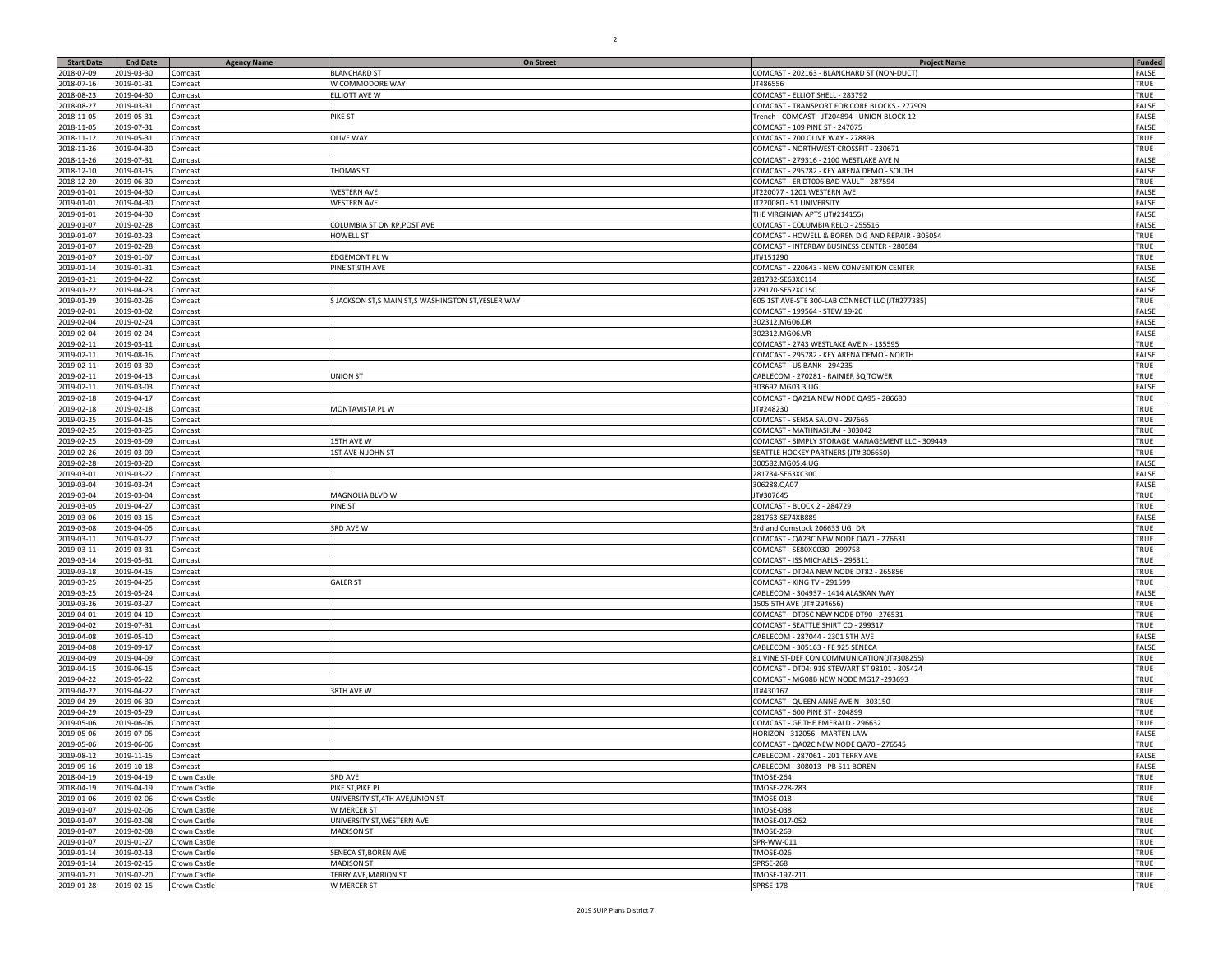| <b>Start Date</b>        | <b>End Date</b>          | <b>Agency Name</b>      | <b>On Street</b>                                   | <b>Project Name</b>                                                   | <b>Funded</b>  |
|--------------------------|--------------------------|-------------------------|----------------------------------------------------|-----------------------------------------------------------------------|----------------|
| 2018-07-09               | 2019-03-30               | Comcast                 | <b>BLANCHARD ST</b>                                | COMCAST - 202163 - BLANCHARD ST (NON-DUCT)                            | FALSE          |
| 2018-07-16               | 2019-01-31               | Comcast                 | W COMMODORE WAY                                    | T486556                                                               | TRUE           |
| 2018-08-23               | 2019-04-30               | Comcast                 | ELLIOTT AVE W                                      | COMCAST - ELLIOT SHELL - 283792                                       | TRUE           |
| 2018-08-27               | 2019-03-31               | Comcast                 |                                                    | COMCAST - TRANSPORT FOR CORE BLOCKS - 277909                          | FALSE          |
| 2018-11-05               | 2019-05-31               | Comcast                 | PIKE ST                                            | Trench - COMCAST - JT204894 - UNION BLOCK 12                          | FALSE          |
| 2018-11-05               | 2019-07-31               | Comcast                 |                                                    | COMCAST - 109 PINE ST - 247075                                        | FALSE          |
| 2018-11-12               | 2019-05-31               | Comcast                 | <b>OLIVE WAY</b>                                   | COMCAST - 700 OLIVE WAY - 278893                                      | TRUE           |
| 2018-11-26               | 2019-04-30               | Comcast                 |                                                    | COMCAST - NORTHWEST CROSSFIT - 230671                                 | TRUE           |
| 2018-11-26               | 2019-07-31               | Comcast                 |                                                    | COMCAST - 279316 - 2100 WESTLAKE AVE N                                | FALSE          |
| 2018-12-10               | 2019-03-15               | Comcast                 | THOMAS ST                                          | COMCAST - 295782 - KEY ARENA DEMO - SOUTH                             | FALSE          |
| 2018-12-20               | 2019-06-30               | Comcast                 |                                                    | COMCAST - ER DT006 BAD VAULT - 287594                                 | TRUE           |
| 2019-01-01               | 2019-04-30               | Comcast                 | <b>WESTERN AVE</b>                                 | JT220077 - 1201 WESTERN AVE                                           | FALSE          |
| 2019-01-01               | 2019-04-30               | Comcast                 | <b>WESTERN AVE</b>                                 | T220080 - 51 UNIVERSITY                                               | FALSE          |
| 2019-01-01               | 2019-04-30               | Comcast                 |                                                    | THE VIRGINIAN APTS (JT#214155)                                        | FALSE          |
| 2019-01-07               | 2019-02-28               | Comcast                 | COLUMBIA ST ON RP, POST AVE                        | COMCAST - COLUMBIA RELO - 255516                                      | FALSE          |
| 2019-01-07               | 2019-02-23               | Comcast                 | HOWELL ST                                          | COMCAST - HOWELL & BOREN DIG AND REPAIR - 305054                      | TRUE           |
| 2019-01-07               | 2019-02-28               | Comcast                 |                                                    | COMCAST - INTERBAY BUSINESS CENTER - 280584                           | TRUE           |
| 2019-01-07               | 2019-01-07               | Comcast                 | EDGEMONT PL W                                      | JT#151290                                                             | TRUE           |
| 2019-01-14               | 2019-01-31               | Comcast                 | PINE ST, 9TH AVE                                   | COMCAST - 220643 - NEW CONVENTION CENTER                              | FALSE          |
| 2019-01-21               | 2019-04-22               | Comcast                 |                                                    | 281732-SE63XC114                                                      | FALSE          |
| 2019-01-22               | 2019-04-23               | Comcast                 |                                                    | 279170-SE52XC150                                                      | FALSE          |
| 2019-01-29               | 2019-02-26               | Comcast                 | S JACKSON ST,S MAIN ST,S WASHINGTON ST, YESLER WAY | 605 1ST AVE-STE 300-LAB CONNECT LLC (JT#277385)                       | TRUE           |
| 2019-02-01               | 2019-03-02               | Comcast                 |                                                    | COMCAST - 199564 - STEW 19-20                                         | FALSE          |
| 2019-02-04<br>2019-02-04 | 2019-02-24<br>2019-02-24 | Comcast                 |                                                    | 302312.MG06.DR<br>302312.MG06.VR                                      | FALSE<br>FALSE |
| 2019-02-11               | 2019-03-11               | Comcast<br>Comcast      |                                                    | COMCAST - 2743 WESTLAKE AVE N - 135595                                | TRUE           |
| 2019-02-11               | 2019-08-16               |                         |                                                    | COMCAST - 295782 - KEY ARENA DEMO - NORTH                             | FALSE          |
| 2019-02-11               | 2019-03-30               | Comcast                 |                                                    | COMCAST - US BANK - 294235                                            | TRUE           |
| 2019-02-11               | 2019-04-13               | Comcast<br>Comcast      | <b>UNION ST</b>                                    | CABLECOM - 270281 - RAINIER SQ TOWER                                  | TRUE           |
| 2019-02-11               | 2019-03-03               | Comcast                 |                                                    | 303692.MG03.3.UG                                                      | FALSE          |
| 2019-02-18               | 2019-04-17               | Comcast                 |                                                    | COMCAST - QA21A NEW NODE QA95 - 286680                                | TRUE           |
| 2019-02-18               | 2019-02-18               | Comcast                 | MONTAVISTA PL W                                    | T#248230                                                              | TRUE           |
| 2019-02-25               | 2019-04-15               | Comcast                 |                                                    | COMCAST - SENSA SALON - 297665                                        | TRUE           |
| 2019-02-25               | 2019-03-25               | Comcast                 |                                                    | COMCAST - MATHNASIUM - 303042                                         | TRUE           |
| 2019-02-25               | 2019-03-09               | Comcast                 | 15TH AVE W                                         | COMCAST - SIMPLY STORAGE MANAGEMENT LLC - 309449                      | TRUE           |
| 2019-02-26               | 2019-03-09               | Comcast                 | 1ST AVE N, JOHN ST                                 | SEATTLE HOCKEY PARTNERS (JT# 306650)                                  | TRUE           |
| 2019-02-28               | 2019-03-20               | Comcast                 |                                                    | 300582.MG05.4.UG                                                      | FALSE          |
| 2019-03-01               | 2019-03-22               | Comcast                 |                                                    | 281734-SE63XC300                                                      | FALSE          |
| 2019-03-04               | 2019-03-24               | Comcast                 |                                                    | 306288.QA07                                                           | FALSE          |
| 2019-03-04               | 2019-03-04               | Comcast                 | MAGNOLIA BLVD W                                    | T#307645                                                              | TRUE           |
| 2019-03-05               | 2019-04-27               | Comcast                 | PINE ST                                            | COMCAST - BLOCK 2 - 284729                                            | TRUE           |
| 2019-03-06               | 2019-03-15               | Comcast                 |                                                    | 281763-SE74XB889                                                      | FALSE          |
| 2019-03-08               | 2019-04-05               | Comcast                 | 3RD AVE W                                          | 3rd and Comstock 206633 UG_DR                                         | TRUE           |
| 2019-03-11               | 2019-03-22               | Comcast                 |                                                    | COMCAST - QA23C NEW NODE QA71 - 276631                                | TRUE           |
| 2019-03-11               | 2019-03-31               | Comcast                 |                                                    | COMCAST - SE80XC030 - 299758                                          | TRUE           |
| 2019-03-14               | 2019-05-31               | Comcast                 |                                                    | COMCAST - ISS MICHAELS - 29531:                                       | TRUE           |
| 2019-03-18               | 2019-04-15               | Comcast                 |                                                    | COMCAST - DT04A NEW NODE DT82 - 265856                                | TRUE           |
| 2019-03-25               | 2019-04-25               | Comcast                 | <b>GALER ST</b>                                    | COMCAST - KING TV - 291599                                            | TRUE           |
| 2019-03-25               | 2019-05-24               | Comcast                 |                                                    | CABLECOM - 304937 - 1414 ALASKAN WAY                                  | FALSE          |
| 2019-03-26               | 2019-03-27               | Comcast                 |                                                    | 1505 5TH AVE (JT# 294656)                                             | TRUE           |
| 2019-04-01               | 2019-04-10               | Comcast                 |                                                    | COMCAST - DT05C NEW NODE DT90 - 276531                                | TRUE           |
| 2019-04-02               | 2019-07-31               | Comcast                 |                                                    | COMCAST - SEATTLE SHIRT CO - 299317                                   | TRUE           |
| 2019-04-08               | 2019-05-10               | Comcast                 |                                                    | CABLECOM - 287044 - 2301 5TH AVE                                      | FALSE          |
| 2019-04-08               | 2019-09-17               | Comcast                 |                                                    | CABLECOM - 305163 - FE 925 SENECA                                     | FALSE          |
| 2019-04-09               | 2019-04-09               | Comcast                 |                                                    | 81 VINE ST-DEF CON COMMUNICATION(JT#308255)                           | TRUE           |
| 2019-04-15               | 2019-06-15               | Comcast                 |                                                    | COMCAST - DT04: 919 STEWART ST 98101 - 305424                         | TRUE           |
| 2019-04-22               | 2019-05-22               | Comcast                 |                                                    | COMCAST - MG08B NEW NODE MG17-293693                                  | TRUE           |
| 2019-04-22               | 2019-04-22               | Comcast                 | 38TH AVE W                                         | T#430167                                                              | TRUE           |
| 2019-04-29               | 2019-06-30               | Comcast                 |                                                    | COMCAST - QUEEN ANNE AVE N - 303150                                   | TRUE           |
| 2019-04-29               | 2019-05-29               | Comcast                 |                                                    | COMCAST - 600 PINE ST - 204899                                        | TRUE           |
| 2019-05-06               | 2019-06-06               | Comcast                 |                                                    | COMCAST - GF THE EMERALD - 296632                                     | TRUE           |
| 2019-05-06               | 2019-07-05               | Comcast                 |                                                    | HORIZON - 312056 - MARTEN LAW                                         | FALSE<br>TRUE  |
| 2019-05-06               | 2019-06-06               | Comcast                 |                                                    | COMCAST - QA02C NEW NODE QA70 - 276545                                |                |
| 2019-08-12               | 2019-11-15<br>2019-10-18 | Comcast                 |                                                    | CABLECOM - 287061 - 201 TERRY AVE<br>CABLECOM - 308013 - PB 511 BOREN | FALSE<br>FALSE |
| 2019-09-16<br>2018-04-19 | 2019-04-19               | Comcast<br>Crown Castle | 3RD AVE                                            |                                                                       | TRUE           |
| 2018-04-19               | 2019-04-19               | Crown Castle            | PIKE ST, PIKE PL                                   | TMOSE-264<br>TMOSE-278-283                                            | TRUE           |
| 2019-01-06               | 2019-02-06               | Crown Castle            | UNIVERSITY ST, 4TH AVE, UNION ST                   | TMOSE-018                                                             | TRUE           |
| 2019-01-07               | 2019-02-06               | Crown Castle            | W MERCER ST                                        | TMOSE-038                                                             | TRUE           |
| 2019-01-07               | 2019-02-08               | Crown Castle            | UNIVERSITY ST, WESTERN AVE                         | TMOSE-017-052                                                         | TRUE           |
| 2019-01-07               | 2019-02-08               | Crown Castle            | <b>MADISON ST</b>                                  | TMOSE-269                                                             | TRUE           |
| 2019-01-07               | 2019-01-27               | Crown Castle            |                                                    | SPR-WW-011                                                            | TRUE           |
| 2019-01-14               | 2019-02-13               | Crown Castle            | SENECA ST, BOREN AVE                               | TMOSE-026                                                             | TRUE           |
| 2019-01-14               | 2019-02-15               | Crown Castle            | <b>MADISON ST</b>                                  | <b>SPRSE-268</b>                                                      | TRUE           |
| 2019-01-21               | 2019-02-20               | Crown Castle            | TERRY AVE, MARION ST                               | TMOSE-197-211                                                         | TRUE           |
| 2019-01-28               | 2019-02-15               | Crown Castle            | W MERCER ST                                        | SPRSE-178                                                             | TRUE           |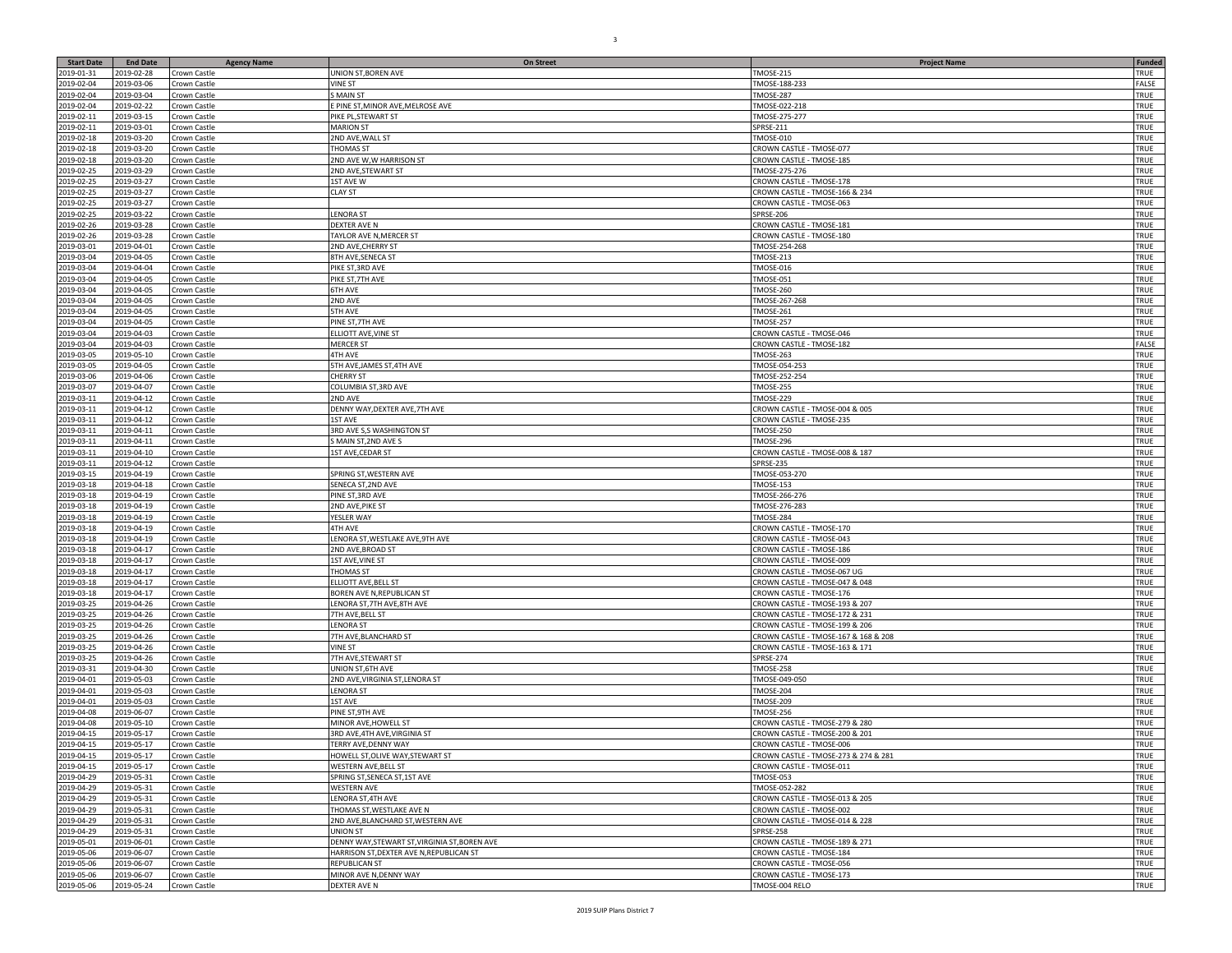| <b>Start Date</b>        | <b>End Date</b>          | <b>Agency Name</b>           | <b>On Street</b>                                          | <b>Project Name</b>                                     | Funded       |
|--------------------------|--------------------------|------------------------------|-----------------------------------------------------------|---------------------------------------------------------|--------------|
| 2019-01-31               | 2019-02-28               | Crown Castle                 | JNION ST, BOREN AVE                                       | TMOSE-215                                               | TRUE         |
| 2019-02-04               | 2019-03-06               | Crown Castle                 | <b>VINE ST</b>                                            | TMOSE-188-233                                           | FALSE        |
| 2019-02-04               | 2019-03-04               | Crown Castle                 | MAIN ST                                                   | <b>TMOSE-287</b>                                        | TRUE         |
| 2019-02-04               | 2019-02-22               | Crown Castle                 | PINE ST, MINOR AVE, MELROSE AVE                           | TMOSE-022-218                                           | TRUE         |
| 2019-02-11               | 2019-03-15               | Crown Castle                 | PIKE PL, STEWART ST                                       | TMOSE-275-277                                           | TRUE         |
| 2019-02-11               | 2019-03-01               | Crown Castle                 | <b>MARION ST</b>                                          | SPRSE-211                                               | TRUE         |
| 2019-02-18<br>2019-02-18 | 2019-03-20<br>2019-03-20 | Crown Castle<br>Crown Castle | <b>2ND AVE, WALL ST</b><br>THOMAS ST                      | <b>TMOSE-010</b><br>CROWN CASTLE - TMOSE-077            | TRUE<br>TRUE |
| 2019-02-18               | 2019-03-20               | Crown Castle                 | 2ND AVE W,W HARRISON ST                                   | CROWN CASTLE - TMOSE-185                                | TRUE         |
| 2019-02-25               | 2019-03-29               | Crown Castle                 | 2ND AVE, STEWART ST                                       | TMOSE-275-276                                           | TRUE         |
| 2019-02-25               | 2019-03-27               | Crown Castle                 | 1ST AVE W                                                 | CROWN CASTLE - TMOSE-178                                | TRUE         |
| 2019-02-25               | 2019-03-27               | Crown Castle                 | <b>CLAY ST</b>                                            | CROWN CASTLE - TMOSE-166 & 234                          | TRUE         |
| 2019-02-25               | 2019-03-27               | Crown Castle                 |                                                           | CROWN CASTLE - TMOSE-063                                | TRUE         |
| 2019-02-25               | 2019-03-22               | Crown Castle                 | LENORA ST                                                 | SPRSE-206                                               | TRUE         |
| 2019-02-26               | 2019-03-28               | Crown Castle                 | DEXTER AVE N                                              | CROWN CASTLE - TMOSE-181                                | TRUE         |
| 2019-02-26               | 2019-03-28               | Crown Castle                 | TAYLOR AVE N, MERCER ST                                   | CROWN CASTLE - TMOSE-180                                | TRUE         |
| 2019-03-01               | 2019-04-01               | Crown Castle                 | 2ND AVE, CHERRY ST                                        | TMOSE-254-268                                           | TRUE         |
| 2019-03-04               | 2019-04-05               | Crown Castle                 | 8TH AVE, SENECA ST                                        | TMOSE-213                                               | TRUE         |
| 2019-03-04               | 2019-04-04               | Crown Castle                 | PIKE ST, 3RD AVE<br>PIKE ST, 7TH AVE                      | TMOSE-016                                               | TRUE<br>TRUE |
| 2019-03-04<br>2019-03-04 | 2019-04-05<br>2019-04-05 | Crown Castle<br>Crown Castle | <b>5TH AVE</b>                                            | TMOSE-051<br><b>TMOSE-260</b>                           | TRUE         |
| 2019-03-04               | 2019-04-05               | Crown Castle                 | 2ND AVE                                                   | TMOSE-267-268                                           | TRUE         |
| 2019-03-04               | 2019-04-05               | Crown Castle                 | 5TH AVE                                                   | TMOSE-261                                               | TRUE         |
| 2019-03-04               | 2019-04-05               | Crown Castle                 | PINE ST, 7TH AVE                                          | TMOSE-257                                               | TRUE         |
| 2019-03-04               | 2019-04-03               | Crown Castle                 | <b>ELLIOTT AVE, VINE ST</b>                               | CROWN CASTLE - TMOSE-046                                | TRUE         |
| 2019-03-04               | 2019-04-03               | Crown Castle                 | <b>MERCER ST</b>                                          | CROWN CASTLE - TMOSE-182                                | FALSE        |
| 2019-03-05               | 2019-05-10               | Crown Castle                 | 4TH AVE                                                   | <b>TMOSE-263</b>                                        | TRUE         |
| 2019-03-05               | 2019-04-05               | Crown Castle                 | 5TH AVE, JAMES ST, 4TH AVE                                | TMOSE-054-253                                           | TRUE         |
| 2019-03-06               | 2019-04-06               | Crown Castle                 | CHERRY ST                                                 | TMOSE-252-254                                           | TRUE         |
| 2019-03-07               | 2019-04-07               | Crown Castle                 | COLUMBIA ST, 3RD AVE                                      | TMOSE-255                                               | TRUE         |
| 2019-03-11               | 2019-04-12               | Crown Castle                 | 2ND AVE                                                   | TMOSE-229                                               | TRUE         |
| 2019-03-11               | 2019-04-12               | Crown Castle                 | DENNY WAY, DEXTER AVE, 7TH AVE                            | CROWN CASTLE - TMOSE-004 & 005                          | TRUE         |
| 2019-03-11               | 2019-04-12               | Crown Castle                 | 1ST AVE                                                   | CROWN CASTLE - TMOSE-235                                | TRUE         |
| 2019-03-11<br>2019-03-11 | 2019-04-11<br>2019-04-11 | Crown Castle<br>Crown Castle | 3RD AVE S,S WASHINGTON ST<br>SMAIN ST, 2ND AVE S          | <b>TMOSE-250</b><br><b>TMOSE-296</b>                    | TRUE<br>TRUE |
| 2019-03-11               | 2019-04-10               | Crown Castle                 | 1ST AVE, CEDAR ST                                         | CROWN CASTLE - TMOSE-008 & 187                          | TRUE         |
| 2019-03-11               | 2019-04-12               | Crown Castle                 |                                                           | <b>SPRSE-235</b>                                        | TRUE         |
| 2019-03-15               | 2019-04-19               | Crown Castle                 | SPRING ST, WESTERN AVE                                    | TMOSE-053-270                                           | TRUE         |
| 2019-03-18               | 2019-04-18               | Crown Castle                 | SENECA ST, 2ND AVE                                        | <b>TMOSE-153</b>                                        | TRUE         |
| 2019-03-18               | 2019-04-19               | Crown Castle                 | PINE ST, 3RD AVE                                          | TMOSE-266-276                                           | TRUE         |
| 2019-03-18               | 2019-04-19               | Crown Castle                 | 2ND AVE, PIKE ST                                          | TMOSE-276-283                                           | TRUE         |
| 2019-03-18               | 2019-04-19               | Crown Castle                 | YESLER WAY                                                | TMOSE-284                                               | TRUE         |
| 2019-03-18               | 2019-04-19               | Crown Castle                 | 4TH AVE                                                   | CROWN CASTLE - TMOSE-170                                | TRUE         |
| 2019-03-18               | 2019-04-19               | Crown Castle                 | LENORA ST, WESTLAKE AVE, 9TH AVE                          | CROWN CASTLE - TMOSE-043                                | TRUE         |
| 2019-03-18               | 2019-04-17               | Crown Castle                 | 2ND AVE, BROAD ST                                         | CROWN CASTLE - TMOSE-186                                | TRUE         |
| 2019-03-18<br>2019-03-18 | 2019-04-17<br>2019-04-17 | Crown Castle                 | <b>1ST AVE, VINE ST</b><br>THOMAS ST                      | CROWN CASTLE - TMOSE-009<br>CROWN CASTLE - TMOSE-067 UG | TRUE<br>TRUE |
| 2019-03-18               | 2019-04-17               | Crown Castle<br>Crown Castle | ELLIOTT AVE, BELL ST                                      | CROWN CASTLE - TMOSE-047 & 048                          | TRUE         |
| 2019-03-18               | 2019-04-17               | Crown Castle                 | BOREN AVE N, REPUBLICAN ST                                | CROWN CASTLE - TMOSE-176                                | TRUE         |
| 2019-03-25               | 2019-04-26               | Crown Castle                 | ENORA ST, 7TH AVE, 8TH AVE                                | CROWN CASTLE - TMOSE-193 & 207                          | TRUE         |
| 2019-03-25               | 2019-04-26               | Crown Castle                 | TH AVE, BELL ST                                           | CROWN CASTLE - TMOSE-172 & 231                          | TRUE         |
| 2019-03-25               | 2019-04-26               | Crown Castle                 | <b>LENORA ST</b>                                          | CROWN CASTLE - TMOSE-199 & 206                          | TRUE         |
| 2019-03-25               | 2019-04-26               | Crown Castle                 | 7TH AVE, BLANCHARD ST                                     | CROWN CASTLE - TMOSE-167 & 168 & 208                    | TRUE         |
| 2019-03-25               | 2019-04-26               | Crown Castle                 | VINE ST                                                   | CROWN CASTLE - TMOSE-163 & 171                          | TRUE         |
| 2019-03-25               | 2019-04-26               | Crown Castle                 | 7TH AVE, STEWART ST                                       | <b>SPRSE-274</b>                                        | TRUE         |
| 2019-03-31               | 2019-04-30               | Crown Castle                 | UNION ST,6TH AVE                                          | TMOSE-258                                               | TRUE         |
| 2019-04-01               | 2019-05-03               | Crown Castle                 | 2ND AVE, VIRGINIA ST, LENORA ST                           | TMOSE-049-050                                           | TRUE         |
| 2019-04-01               | 2019-05-03               | Crown Castle                 | <b>LENORA ST</b>                                          | TMOSE-204                                               | TRUE         |
| 2019-04-01<br>2019-04-08 | 2019-05-03<br>2019-06-07 | Crown Castle<br>Crown Castle | <b>1ST AVE</b><br>PINE ST, 9TH AVE                        | <b>TMOSE-209</b><br><b>TMOSE-256</b>                    | TRUE<br>TRUE |
| 2019-04-08               | 2019-05-10               | Crown Castle                 | MINOR AVE, HOWELL ST                                      | CROWN CASTLE - TMOSE-279 & 280                          | TRUE         |
| 2019-04-15               | 2019-05-17               | Crown Castle                 | 3RD AVE, 4TH AVE, VIRGINIA ST                             | CROWN CASTLE - TMOSE-200 & 201                          | TRUE         |
| 2019-04-15               | 2019-05-17               | Crown Castle                 | TERRY AVE, DENNY WAY                                      | CROWN CASTLE - TMOSE-006                                | TRUE         |
| 2019-04-15               | 2019-05-17               | Crown Castle                 | HOWELL ST,OLIVE WAY,STEWART ST                            | CROWN CASTLE - TMOSE-273 & 274 & 281                    | TRUE         |
| 2019-04-15               | 2019-05-17               | Crown Castle                 | WESTERN AVE, BELL ST                                      | CROWN CASTLE - TMOSE-011                                | TRUE         |
| 2019-04-29               | 2019-05-31               | Crown Castle                 | SPRING ST, SENECA ST, 1ST AVE                             | TMOSE-053                                               | TRUE         |
| 2019-04-29               | 2019-05-31               | Crown Castle                 | <b>WESTERN AVE</b>                                        | TMOSE-052-282                                           | TRUE         |
| 2019-04-29               | 2019-05-31               | Crown Castle                 | LENORA ST,4TH AVE                                         | CROWN CASTLE - TMOSE-013 & 205                          | TRUE         |
| 2019-04-29               | 2019-05-31               | Crown Castle                 | THOMAS ST, WESTLAKE AVE N                                 | CROWN CASTLE - TMOSE-002                                | TRUE         |
| 2019-04-29               | 2019-05-31               | Crown Castle                 | 2ND AVE, BLANCHARD ST, WESTERN AVE                        | CROWN CASTLE - TMOSE-014 & 228                          | TRUE         |
| 2019-04-29<br>2019-05-01 | 2019-05-31<br>2019-06-01 | Crown Castle<br>Crown Castle | UNION ST<br>DENNY WAY, STEWART ST, VIRGINIA ST, BOREN AVE | <b>SPRSE-258</b><br>CROWN CASTLE - TMOSE-189 & 271      | TRUE<br>TRUE |
| 2019-05-06               | 2019-06-07               | Crown Castle                 | HARRISON ST, DEXTER AVE N, REPUBLICAN ST                  | CROWN CASTLE - TMOSE-184                                | TRUE         |
| 2019-05-06               | 2019-06-07               | Crown Castle                 | REPUBLICAN ST                                             | CROWN CASTLE - TMOSE-056                                | TRUE         |
| 2019-05-06               | 2019-06-07               | Crown Castle                 | MINOR AVE N, DENNY WAY                                    | CROWN CASTLE - TMOSE-173                                | TRUE         |
| 2019-05-06               | 2019-05-24               | Crown Castle                 | DEXTER AVE N                                              | TMOSE-004 RELO                                          | TRUE         |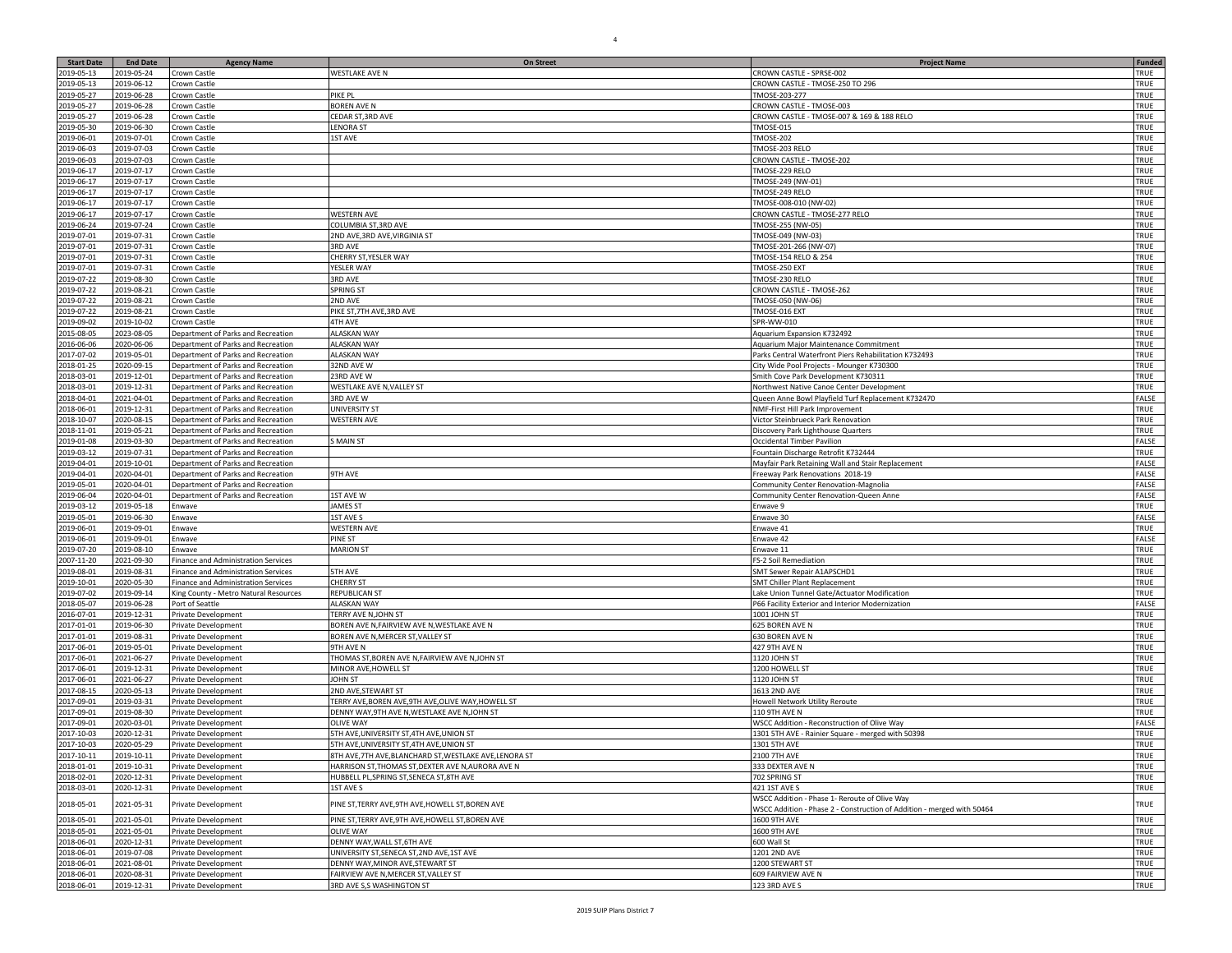| <b>Start Date</b>        | <b>End Date</b>          | <b>Agency Name</b>                                                           | <b>On Street</b>                                       | <b>Project Name</b>                                                                            | <b>Funded</b>  |
|--------------------------|--------------------------|------------------------------------------------------------------------------|--------------------------------------------------------|------------------------------------------------------------------------------------------------|----------------|
| 2019-05-13               | 019-05-24                | Crown Castle                                                                 | <b>NESTLAKE AVE N</b>                                  | CROWN CASTLE - SPRSE-002                                                                       | TRUE           |
| 2019-05-13               | 2019-06-12               | Crown Castle                                                                 |                                                        | CROWN CASTLE - TMOSE-250 TO 296                                                                | TRUE           |
| 2019-05-27               | 2019-06-28               | Crown Castle                                                                 | PIKE PL                                                | TMOSE-203-277                                                                                  | TRUE           |
| 2019-05-27               | 2019-06-28               | Crown Castle                                                                 | <b>BOREN AVE N</b>                                     | CROWN CASTLE - TMOSE-003                                                                       | TRUE           |
| 2019-05-27               | 2019-06-28               | Crown Castle                                                                 | CEDAR ST, 3RD AVE                                      | CROWN CASTLE - TMOSE-007 & 169 & 188 RELO                                                      | TRUE<br>TRUE   |
| 2019-05-30<br>2019-06-01 | 2019-06-30<br>2019-07-01 | Crown Castle<br>Crown Castle                                                 | <b>ENORA ST</b><br><b>IST AVE</b>                      | <b>TMOSE-015</b><br><b>TMOSE-202</b>                                                           | TRUE           |
| 2019-06-03               | 2019-07-03               | Crown Castle                                                                 |                                                        | TMOSE-203 RELO                                                                                 | TRUE           |
| 2019-06-03               | 2019-07-03               | Crown Castle                                                                 |                                                        | CROWN CASTLE - TMOSE-202                                                                       | TRUE           |
| 2019-06-17               | 2019-07-17               | Crown Castle                                                                 |                                                        | TMOSE-229 RELO                                                                                 | TRUE           |
| 2019-06-17               | 2019-07-17               | Crown Castle                                                                 |                                                        | TMOSE-249 (NW-01)                                                                              | TRUE           |
| 2019-06-17               | 2019-07-17               | Crown Castle                                                                 |                                                        | TMOSE-249 RELO                                                                                 | TRUE           |
| 2019-06-17               | 2019-07-17               | Crown Castle                                                                 |                                                        | TMOSE-008-010 (NW-02)                                                                          | TRUE           |
| 2019-06-17               | 2019-07-17               | Crown Castle                                                                 | <b>WESTERN AVE</b>                                     | CROWN CASTLE - TMOSE-277 RELO                                                                  | TRUE           |
| 2019-06-24               | 2019-07-24               | Crown Castle                                                                 | COLUMBIA ST,3RD AVE                                    | TMOSE-255 (NW-05)                                                                              | TRUE           |
| 2019-07-01<br>2019-07-01 | 2019-07-31<br>2019-07-31 | Crown Castle<br>Crown Castle                                                 | 2ND AVE, 3RD AVE, VIRGINIA ST<br>3RD AVE               | TMOSE-049 (NW-03)<br>TMOSE-201-266 (NW-07)                                                     | TRUE<br>TRUE   |
| 2019-07-01               | 2019-07-31               | Crown Castle                                                                 | CHERRY ST, YESLER WAY                                  | TMOSE-154 RELO & 254                                                                           | TRUE           |
| 2019-07-01               | 2019-07-31               | Crown Castle                                                                 | YESLER WAY                                             | TMOSE-250 EXT                                                                                  | TRUE           |
| 2019-07-22               | 2019-08-30               | Crown Castle                                                                 | 3RD AVE                                                | TMOSE-230 RELO                                                                                 | TRUE           |
| 2019-07-22               | 2019-08-21               | Crown Castle                                                                 | SPRING ST                                              | CROWN CASTLE - TMOSE-262                                                                       | TRUE           |
| 2019-07-22               | 2019-08-21               | Crown Castle                                                                 | 2ND AVE                                                | TMOSE-050 (NW-06)                                                                              | TRUE           |
| 2019-07-22               | 2019-08-21               | Crown Castle                                                                 | PIKE ST, 7TH AVE, 3RD AVE                              | TMOSE-016 EXT                                                                                  | TRUE           |
| 2019-09-02               | 2019-10-02               | Crown Castle                                                                 | 4TH AVE                                                | SPR-WW-010                                                                                     | TRUE           |
| 2015-08-05               | 2023-08-05               | Department of Parks and Recreation                                           | <b>ALASKAN WAY</b>                                     | Aquarium Expansion K732492                                                                     | TRUE           |
| 2016-06-06<br>2017-07-02 | 2020-06-06<br>2019-05-01 | Department of Parks and Recreation<br>Department of Parks and Recreation     | <b>ALASKAN WAY</b><br><b>ALASKAN WAY</b>               | Aquarium Major Maintenance Commitment<br>Parks Central Waterfront Piers Rehabilitation K732493 | TRUE<br>TRUE   |
| 2018-01-25               | 2020-09-15               | Department of Parks and Recreation                                           | 32ND AVE W                                             | City Wide Pool Projects - Mounger K730300                                                      | TRUE           |
| 2018-03-01               | 2019-12-01               | Department of Parks and Recreation                                           | 23RD AVE W                                             | Smith Cove Park Development K730311                                                            | TRUE           |
| 2018-03-01               | 2019-12-31               | Department of Parks and Recreation                                           | WESTLAKE AVE N, VALLEY ST                              | Northwest Native Canoe Center Development                                                      | TRUE           |
| 2018-04-01               | 2021-04-01               | Department of Parks and Recreation                                           | 3RD AVE W                                              | Queen Anne Bowl Playfield Turf Replacement K732470                                             | FALSE          |
| 2018-06-01               | 2019-12-31               | Department of Parks and Recreation                                           | <b>JNIVERSITY ST</b>                                   | NMF-First Hill Park Improvement                                                                | TRUE           |
| 2018-10-07               | 2020-08-15               | Department of Parks and Recreation                                           | <b>WESTERN AVE</b>                                     | Victor Steinbrueck Park Renovation                                                             | TRUE           |
| 2018-11-01               | 2019-05-21               | Department of Parks and Recreation                                           |                                                        | Discovery Park Lighthouse Quarters                                                             | TRUE           |
| 2019-01-08               | 2019-03-30               | Department of Parks and Recreation                                           | S MAIN ST                                              | Occidental Timber Pavilion                                                                     | FALSE          |
| 2019-03-12               | 2019-07-31               | Department of Parks and Recreation                                           |                                                        | Fountain Discharge Retrofit K732444                                                            | TRUE           |
| 2019-04-01<br>2019-04-01 | 2019-10-01<br>2020-04-01 | Department of Parks and Recreation<br>Department of Parks and Recreation     | 9TH AVE                                                | Mayfair Park Retaining Wall and Stair Replacement<br>Freeway Park Renovations 2018-19          | FALSE<br>FALSE |
| 2019-05-01               | 2020-04-01               | Department of Parks and Recreation                                           |                                                        | Community Center Renovation-Magnolia                                                           | FALSE          |
| 2019-06-04               | 2020-04-01               | Department of Parks and Recreation                                           | <b>1ST AVE W</b>                                       | Community Center Renovation-Queen Anne                                                         | FALSE          |
| 2019-03-12               | 2019-05-18               | Enwave                                                                       | <b>JAMES ST</b>                                        | Enwave 9                                                                                       | TRUE           |
| 2019-05-01               | 2019-06-30               | Enwave                                                                       | <b>1ST AVE S</b>                                       | Enwave 30                                                                                      | FALSE          |
| 2019-06-01               | 2019-09-01               | Enwave                                                                       | <b>WESTERN AVE</b>                                     | Enwave 41                                                                                      | TRUE           |
| 2019-06-01               | 2019-09-01               | Enwave                                                                       | PINE ST                                                | Enwave 42                                                                                      | FALSE          |
| 2019-07-20               | 2019-08-10               | Enwave                                                                       | <b>MARION ST</b>                                       | Enwave 11                                                                                      | TRUE           |
| 2007-11-20               | 2021-09-30               | Finance and Administration Services                                          |                                                        | FS-2 Soil Remediation                                                                          | TRUE           |
| 2019-08-01<br>2019-10-01 | 2019-08-31<br>2020-05-30 | Finance and Administration Services                                          | <b>5TH AVE</b><br>CHERRY ST                            | SMT Sewer Repair A1APSCHD1                                                                     | TRUE<br>TRUE   |
| 2019-07-02               | 2019-09-14               | Finance and Administration Services<br>King County - Metro Natural Resources | REPUBLICAN ST                                          | <b>SMT Chiller Plant Replacement</b><br>Lake Union Tunnel Gate/Actuator Modification           | TRUE           |
| 2018-05-07               | 2019-06-28               | Port of Seattle                                                              | <b>ALASKAN WAY</b>                                     | P66 Facility Exterior and Interior Modernization                                               | FALSE          |
| 2016-07-01               | 2019-12-31               | Private Development                                                          | ERRY AVE N, JOHN ST                                    | 1001 JOHN ST                                                                                   | TRUE           |
| 2017-01-01               | 2019-06-30               | Private Development                                                          | BOREN AVE N,FAIRVIEW AVE N,WESTLAKE AVE N              | 625 BOREN AVE N                                                                                | TRUE           |
| 2017-01-01               | 2019-08-31               | Private Development                                                          | BOREN AVE N, MERCER ST, VALLEY ST                      | 630 BOREN AVE N                                                                                | TRUE           |
| 2017-06-01               | 2019-05-01               | Private Development                                                          | <b>9TH AVE N</b>                                       | 427 9TH AVE N                                                                                  | TRUE           |
| 2017-06-01               | 2021-06-27               | Private Development                                                          | THOMAS ST, BOREN AVE N, FAIRVIEW AVE N, JOHN ST        | 1120 JOHN ST                                                                                   | TRUE           |
| 2017-06-01<br>2017-06-01 | 2019-12-31               | Private Development                                                          | MINOR AVE, HOWELL ST<br><b>JOHN ST</b>                 | 1200 HOWELL ST<br>1120 JOHN ST                                                                 | TRUE<br>TRUE   |
| 2017-08-15               | 2021-06-27<br>2020-05-13 | Private Development<br>Private Development                                   | 2ND AVE,STEWART ST                                     | 1613 2ND AVE                                                                                   | TRUE           |
| 2017-09-01               | 2019-03-31               | Private Development                                                          | TERRY AVE, BOREN AVE, 9TH AVE, OLIVE WAY, HOWELL ST    | Howell Network Utility Reroute                                                                 | TRUE           |
| 2017-09-01               | 2019-08-30               | Private Development                                                          | DENNY WAY, 9TH AVE N, WESTLAKE AVE N, JOHN ST          | 110 9TH AVE N                                                                                  | TRUE           |
| 2017-09-01               | 2020-03-01               | Private Development                                                          | OLIVE WAY                                              | WSCC Addition - Reconstruction of Olive Way                                                    | FALSE          |
| 2017-10-03               | 2020-12-31               | Private Development                                                          | 5TH AVE, UNIVERSITY ST, 4TH AVE, UNION ST              | 1301 5TH AVE - Rainier Square - merged with 50398                                              | TRUE           |
| 2017-10-03               | 2020-05-29               | Private Development                                                          | 5TH AVE, UNIVERSITY ST, 4TH AVE, UNION ST              | 1301 5TH AVE                                                                                   | TRUE           |
| 2017-10-11               | 2019-10-11               | <b>Private Development</b>                                                   | BTH AVE,7TH AVE,BLANCHARD ST,WESTLAKE AVE,LENORA ST    | <b>2100 7TH AVE</b>                                                                            | TRUE           |
| 2018-01-01               | 2019-10-31               | Private Development                                                          | HARRISON ST, THOMAS ST, DEXTER AVE N, AURORA AVE N     | 333 DEXTER AVE N                                                                               | TRUE           |
| 2018-02-01<br>2018-03-01 | 2020-12-31<br>2020-12-31 | Private Development<br>Private Development                                   | HUBBELL PL, SPRING ST, SENECA ST, 8TH AVE<br>1ST AVE S | 702 SPRING ST<br>421 1ST AVE S                                                                 | TRUE<br>TRUE   |
|                          |                          |                                                                              |                                                        | WSCC Addition - Phase 1- Reroute of Olive Way                                                  |                |
| 2018-05-01               | 2021-05-31               | Private Development                                                          | PINE ST, TERRY AVE, 9TH AVE, HOWELL ST, BOREN AVE      | WSCC Addition - Phase 2 - Construction of Addition - merged with 50464                         | TRUE           |
| 2018-05-01               | 2021-05-01               | Private Development                                                          | PINE ST, TERRY AVE, 9TH AVE, HOWELL ST, BOREN AVE      | <b>1600 9TH AVE</b>                                                                            | TRUE           |
| 2018-05-01               | 2021-05-01               | Private Development                                                          | <b>OLIVE WAY</b>                                       | 1600 9TH AVE                                                                                   | TRUE           |
| 2018-06-01               | 2020-12-31               | Private Development                                                          | DENNY WAY, WALL ST, 6TH AVE                            | 600 Wall St                                                                                    | TRUE           |
| 2018-06-01               | 2019-07-08               | Private Development                                                          | JNIVERSITY ST, SENECA ST, 2ND AVE, 1ST AVE             | 1201 2ND AVE                                                                                   | TRUE           |
| 2018-06-01               | 2021-08-01               | Private Development                                                          | DENNY WAY.MINOR AVE.STEWART ST                         | 1200 STEWART ST                                                                                | TRUE           |
| 2018-06-01               | 2020-08-31               | Private Development                                                          | FAIRVIEW AVE N.MERCER ST.VALLEY ST                     | 609 FAIRVIEW AVE N                                                                             | TRUE           |
| 2018-06-01               | 2019-12-31               | Private Development                                                          | 3RD AVE S,S WASHINGTON ST                              | 123 3RD AVE S                                                                                  | TRUE           |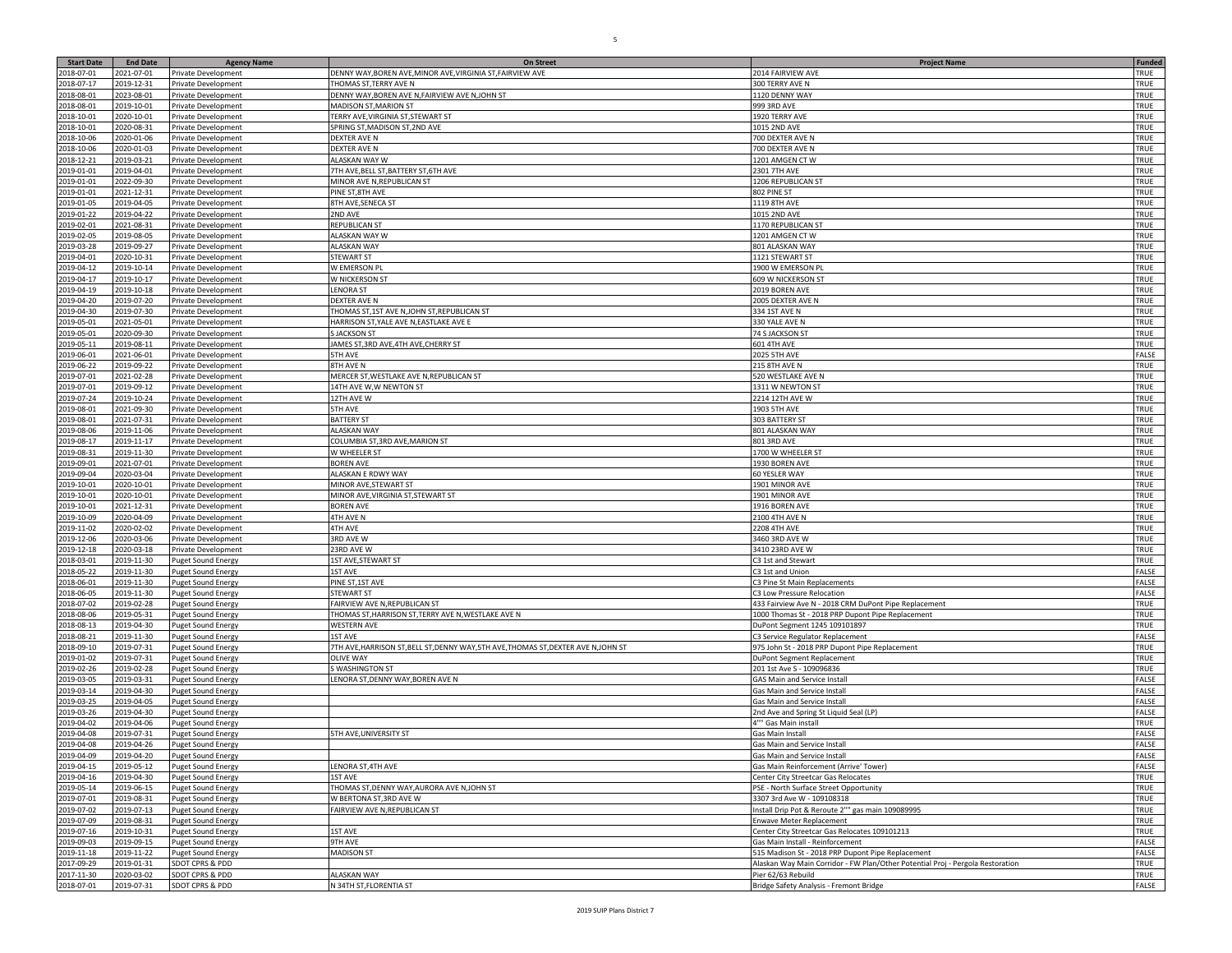| <b>Start Date</b> | <b>End Date</b> | <b>Agency Name</b>        | <b>On Street</b>                                                             | <b>Project Name</b>                                                            | <b>Funded</b> |
|-------------------|-----------------|---------------------------|------------------------------------------------------------------------------|--------------------------------------------------------------------------------|---------------|
| 2018-07-01        | 2021-07-01      | Private Development       | DENNY WAY, BOREN AVE, MINOR AVE, VIRGINIA ST, FAIRVIEW AVE                   | 2014 FAIRVIEW AVE                                                              | TRUE          |
| 2018-07-17        | 2019-12-31      | Private Development       | <b>FHOMAS ST, TERRY AVE N</b>                                                | 300 TERRY AVE N                                                                | TRUE          |
| 2018-08-01        | 2023-08-01      |                           | DENNY WAY, BOREN AVE N, FAIRVIEW AVE N, JOHN ST                              | 1120 DENNY WAY                                                                 | TRUE          |
|                   |                 | Private Development       |                                                                              |                                                                                |               |
| 2018-08-01        | 2019-10-01      | Private Development       | MADISON ST, MARION ST                                                        | 999 3RD AVE                                                                    | TRUE          |
| 2018-10-01        | 2020-10-01      | Private Development       | <b>FERRY AVE, VIRGINIA ST, STEWART ST</b>                                    | 1920 TERRY AVE                                                                 | TRUE          |
| 2018-10-01        | 2020-08-31      | Private Development       | SPRING ST, MADISON ST, 2ND AVE                                               | <b>1015 2ND AVE</b>                                                            | TRUE          |
| 2018-10-06        | 2020-01-06      | Private Development       | DEXTER AVE N                                                                 | 700 DEXTER AVE N                                                               | TRUE          |
| 2018-10-06        | 2020-01-03      | Private Development       | <b>DEXTER AVE N</b>                                                          | 700 DEXTER AVE N                                                               | TRUE          |
| 2018-12-21        | 2019-03-21      | Private Development       | ALASKAN WAY W                                                                | 1201 AMGEN CT W                                                                | TRUE          |
| 2019-01-01        | 2019-04-01      | Private Development       | TH AVE, BELL ST, BATTERY ST, 6TH AVE                                         | 2301 7TH AVE                                                                   | TRUE          |
| 2019-01-01        | 2022-09-30      |                           | MINOR AVE N, REPUBLICAN ST                                                   | 1206 REPUBLICAN ST                                                             | TRUE          |
|                   |                 | Private Development       |                                                                              |                                                                                |               |
| 2019-01-01        | 2021-12-31      | Private Development       | PINE ST, 8TH AVE                                                             | 802 PINE ST                                                                    | TRUE          |
| 2019-01-05        | 2019-04-05      | Private Development       | 8TH AVE, SENECA ST                                                           | 1119 8TH AVE                                                                   | TRUE          |
| 2019-01-22        | 2019-04-22      | Private Development       | <b>ND AVE</b>                                                                | <b>1015 2ND AVE</b>                                                            | TRUE          |
| 2019-02-01        | 2021-08-31      | Private Development       | REPUBLICAN ST                                                                | 1170 REPUBLICAN ST                                                             | TRUE          |
| 2019-02-05        | 2019-08-05      | Private Development       | ALASKAN WAY W                                                                | 1201 AMGEN CTW                                                                 | TRUE          |
| 2019-03-28        | 2019-09-27      | Private Development       | <b>ALASKAN WAY</b>                                                           | 801 ALASKAN WAY                                                                | TRUE          |
| 2019-04-01        | 2020-10-31      | Private Development       | STEWART ST                                                                   | 1121 STEWART ST                                                                | TRUE          |
|                   |                 |                           |                                                                              |                                                                                |               |
| 2019-04-12        | 2019-10-14      | Private Development       | W EMERSON PI                                                                 | 1900 W EMERSON PI                                                              | TRUE          |
| 2019-04-17        | 2019-10-17      | Private Development       | W NICKERSON ST                                                               | 509 W NICKERSON ST                                                             | TRUE          |
| 2019-04-19        | 2019-10-18      | Private Development       | ENORA ST.                                                                    | 2019 BOREN AVE                                                                 | TRUE          |
| 2019-04-20        | 2019-07-20      | Private Development       | DEXTER AVE N                                                                 | 2005 DEXTER AVE N                                                              | TRUE          |
| 2019-04-30        | 2019-07-30      | Private Development       | THOMAS ST, 1ST AVE N, JOHN ST, REPUBLICAN ST                                 | 334 1ST AVE N                                                                  | TRUE          |
| 2019-05-01        | 2021-05-01      | Private Development       | HARRISON ST, YALE AVE N, EASTLAKE AVE E                                      | 330 YALE AVE N                                                                 | TRUE          |
| 2019-05-01        | 2020-09-30      | Private Development       | <b>SJACKSON ST</b>                                                           | 74 S JACKSON ST                                                                | TRUE          |
| 2019-05-11        | 2019-08-11      | Private Development       | JAMES ST, 3RD AVE, 4TH AVE, CHERRY ST                                        | <b>601 4TH AVE</b>                                                             | TRUE          |
|                   |                 |                           | <b>5TH AVE</b>                                                               |                                                                                | FALSE         |
| 2019-06-01        | 2021-06-01      | Private Development       |                                                                              | 2025 5TH AVE                                                                   |               |
| 2019-06-22        | 2019-09-22      | Private Development       | 8TH AVE N                                                                    | <b>215 8TH AVE N</b>                                                           | TRUE          |
| 2019-07-01        | 2021-02-28      | Private Development       | MERCER ST, WESTLAKE AVE N, REPUBLICAN ST                                     | 520 WESTLAKE AVE N                                                             | TRUE          |
| 2019-07-01        | 2019-09-12      | Private Development       | 14TH AVE W,W NEWTON ST                                                       | 1311 W NEWTON ST                                                               | TRUE          |
| 2019-07-24        | 2019-10-24      | Private Development       | 12TH AVE W                                                                   | 2214 12TH AVE W                                                                | TRUE          |
| 2019-08-01        | 2021-09-30      | Private Development       | <b>5TH AVE</b>                                                               | 1903 5TH AVE                                                                   | TRUE          |
| 2019-08-01        | 2021-07-31      | Private Development       | <b>BATTERY ST</b>                                                            | 303 BATTERY ST                                                                 | TRUE          |
| 2019-08-06        | 2019-11-06      | Private Development       | <b>ALASKAN WAY</b>                                                           | 801 ALASKAN WAY                                                                | TRUE          |
|                   |                 |                           |                                                                              |                                                                                | TRUE          |
| 2019-08-17        | 2019-11-17      | Private Development       | COLUMBIA ST, 3RD AVE, MARION ST                                              | 801 3RD AVE                                                                    |               |
| 2019-08-31        | 2019-11-30      | Private Development       | W WHEELER ST                                                                 | 1700 W WHEELER ST                                                              | TRUE          |
| 2019-09-01        | 2021-07-01      | Private Development       | <b>BOREN AVE</b>                                                             | 1930 BOREN AVE                                                                 | TRUE          |
| 2019-09-04        | 2020-03-04      | Private Development       | ALASKAN E RDWY WAY                                                           | 60 YESLER WAY                                                                  | TRUE          |
| 2019-10-01        | 2020-10-01      | Private Development       | MINOR AVE, STEWART ST                                                        | 1901 MINOR AVE                                                                 | TRUE          |
| 2019-10-01        | 2020-10-01      | Private Development       | MINOR AVE, VIRGINIA ST, STEWART ST                                           | 1901 MINOR AVE                                                                 | TRUE          |
| 2019-10-01        | 2021-12-31      | Private Development       | <b>BOREN AVE</b>                                                             | 1916 BOREN AVE                                                                 | TRUE          |
| 2019-10-09        | 2020-04-09      | Private Development       | 4TH AVE N                                                                    | 2100 4TH AVE N                                                                 | TRUE          |
| 2019-11-02        | 2020-02-02      | Private Development       | 4TH AVE                                                                      | 2208 4TH AVE                                                                   | TRUE          |
|                   |                 |                           |                                                                              |                                                                                |               |
| 2019-12-06        | 2020-03-06      | Private Development       | 3RD AVE W                                                                    | 3460 3RD AVE W                                                                 | TRUE          |
| 2019-12-18        | 2020-03-18      | Private Development       | 23RD AVE W                                                                   | 3410 23RD AVE W                                                                | TRUE          |
| 2018-03-01        | 2019-11-30      | Puget Sound Energy        | <b>IST AVE, STEWART ST</b>                                                   | C3 1st and Stewart                                                             | TRUE          |
| 2018-05-22        | 2019-11-30      | Puget Sound Energy        | 1ST AVE                                                                      | C3 1st and Union                                                               | FALSE         |
| 2018-06-01        | 2019-11-30      | <b>Puget Sound Energy</b> | PINE ST, 1ST AVE                                                             | C3 Pine St Main Replacements                                                   | FALSE         |
| 2018-06-05        | 2019-11-30      | Puget Sound Energy        | <b>STEWART ST</b>                                                            | C3 Low Pressure Relocation                                                     | FALSE         |
| 2018-07-02        | 2019-02-28      | <b>Puget Sound Energy</b> | FAIRVIEW AVE N, REPUBLICAN ST                                                | 433 Fairview Ave N - 2018 CRM DuPont Pipe Replacement                          | TRUE          |
| 2018-08-06        | 2019-05-31      | <b>Puget Sound Energy</b> | THOMAS ST, HARRISON ST, TERRY AVE N, WESTLAKE AVE N                          | 1000 Thomas St - 2018 PRP Dupont Pipe Replacement                              | TRUE          |
| 2018-08-13        | 2019-04-30      | <b>Puget Sound Energy</b> | <b>WESTERN AVE</b>                                                           | OuPont Segment 1245 109101897                                                  | TRUE          |
|                   |                 |                           |                                                                              |                                                                                |               |
| 2018-08-21        | 2019-11-30      | <b>Puget Sound Energy</b> | <b>1ST AVE</b>                                                               | C3 Service Regulator Replacement                                               | FALSE         |
| 2018-09-10        | 2019-07-31      | <b>Puget Sound Energy</b> | 7TH AVE,HARRISON ST,BELL ST,DENNY WAY,5TH AVE,THOMAS ST,DEXTER AVE N,JOHN ST | 975 John St - 2018 PRP Dupont Pipe Replacement                                 | TRUE          |
| 2019-01-02        | 2019-07-31      | Puget Sound Energy        | <b>OLIVE WAY</b>                                                             | DuPont Segment Replacement                                                     | TRUE          |
| 2019-02-26        | 2019-02-28      | <b>Puget Sound Energy</b> | S WASHINGTON ST                                                              | 201 1st Ave S - 109096836                                                      | TRUE          |
| 2019-03-05        | 2019-03-31      | <b>Puget Sound Energy</b> | LENORA ST, DENNY WAY, BOREN AVE N                                            | GAS Main and Service Install                                                   | FALSE         |
| 2019-03-14        | 2019-04-30      | Puget Sound Energy        |                                                                              | Gas Main and Service Install                                                   | FALSE         |
| 2019-03-25        | 2019-04-05      | <b>Puget Sound Energy</b> |                                                                              | Gas Main and Service Instal                                                    | FALSE         |
| 2019-03-26        | 2019-04-30      | <b>Puget Sound Energy</b> |                                                                              | 2nd Ave and Spring St Liquid Seal (LP)                                         | FALSE         |
| 2019-04-02        | 2019-04-06      | <b>Puget Sound Energy</b> |                                                                              | <sup>4""</sup> Gas Main install                                                | TRUE          |
| 2019-04-08        | 2019-07-31      |                           | 5TH AVE, UNIVERSITY ST                                                       | Gas Main Install                                                               | FALSE         |
|                   |                 | <b>Puget Sound Energy</b> |                                                                              |                                                                                |               |
| 2019-04-08        | 2019-04-26      | <b>Puget Sound Energy</b> |                                                                              | Gas Main and Service Install                                                   | FALSE         |
| 2019-04-09        | 2019-04-20      | Puget Sound Energ         |                                                                              | Gas Main and Service Install                                                   | FALSE         |
| 2019-04-15        | 2019-05-12      | <b>Puget Sound Energy</b> | LENORA ST,4TH AVE                                                            | Gas Main Reinforcement (Arrive' Tower)                                         | FALSE         |
| 2019-04-16        | 2019-04-30      | <b>Puget Sound Energy</b> | 1ST AVE                                                                      | Center City Streetcar Gas Relocates                                            | TRUE          |
| 2019-05-14        | 2019-06-15      | <b>Puget Sound Energy</b> | THOMAS ST, DENNY WAY, AURORA AVE N, JOHN ST                                  | PSE - North Surface Street Opportunity                                         | TRUE          |
| 2019-07-01        | 2019-08-31      | <b>Puget Sound Energy</b> | W BERTONA ST, 3RD AVE W                                                      | 3307 3rd Ave W - 109108318                                                     | TRUE          |
| 2019-07-02        | 2019-07-13      | <b>Puget Sound Energy</b> | FAIRVIEW AVE N, REPUBLICAN ST                                                | Install Drip Pot & Reroute 2"" gas main 109089995                              | TRUE          |
| 2019-07-09        | 2019-08-31      | <b>Puget Sound Energy</b> |                                                                              | Inwave Meter Replacement                                                       | TRUE          |
|                   |                 |                           |                                                                              |                                                                                |               |
| 2019-07-16        | 2019-10-31      | <b>Puget Sound Energy</b> | 1ST AVE                                                                      | Center City Streetcar Gas Relocates 109101213                                  | TRUE          |
| 2019-09-03        | 2019-09-15      | Puget Sound Energy        | 9TH AVE                                                                      | Gas Main Install - Reinforcement                                               | <b>FALSE</b>  |
| 2019-11-18        | 2019-11-22      | <b>Puget Sound Energy</b> | <b>MADISON ST</b>                                                            | 515 Madison St - 2018 PRP Dupont Pipe Replacement                              | FALSE         |
| 2017-09-29        | 2019-01-31      | SDOT CPRS & PDD           |                                                                              | Alaskan Way Main Corridor - FW Plan/Other Potential Proj - Pergola Restoration | TRUE          |
| 2017-11-30        | 2020-03-02      | SDOT CPRS & PDD           | <b>ALASKAN WAY</b>                                                           | Pier 62/63 Rebuild                                                             | TRUE          |
| 2018-07-01        | 2019-07-31      | SDOT CPRS & PDD           | N 34TH ST, FLORENTIA ST                                                      | Bridge Safety Analysis - Fremont Bridge                                        | FALSE         |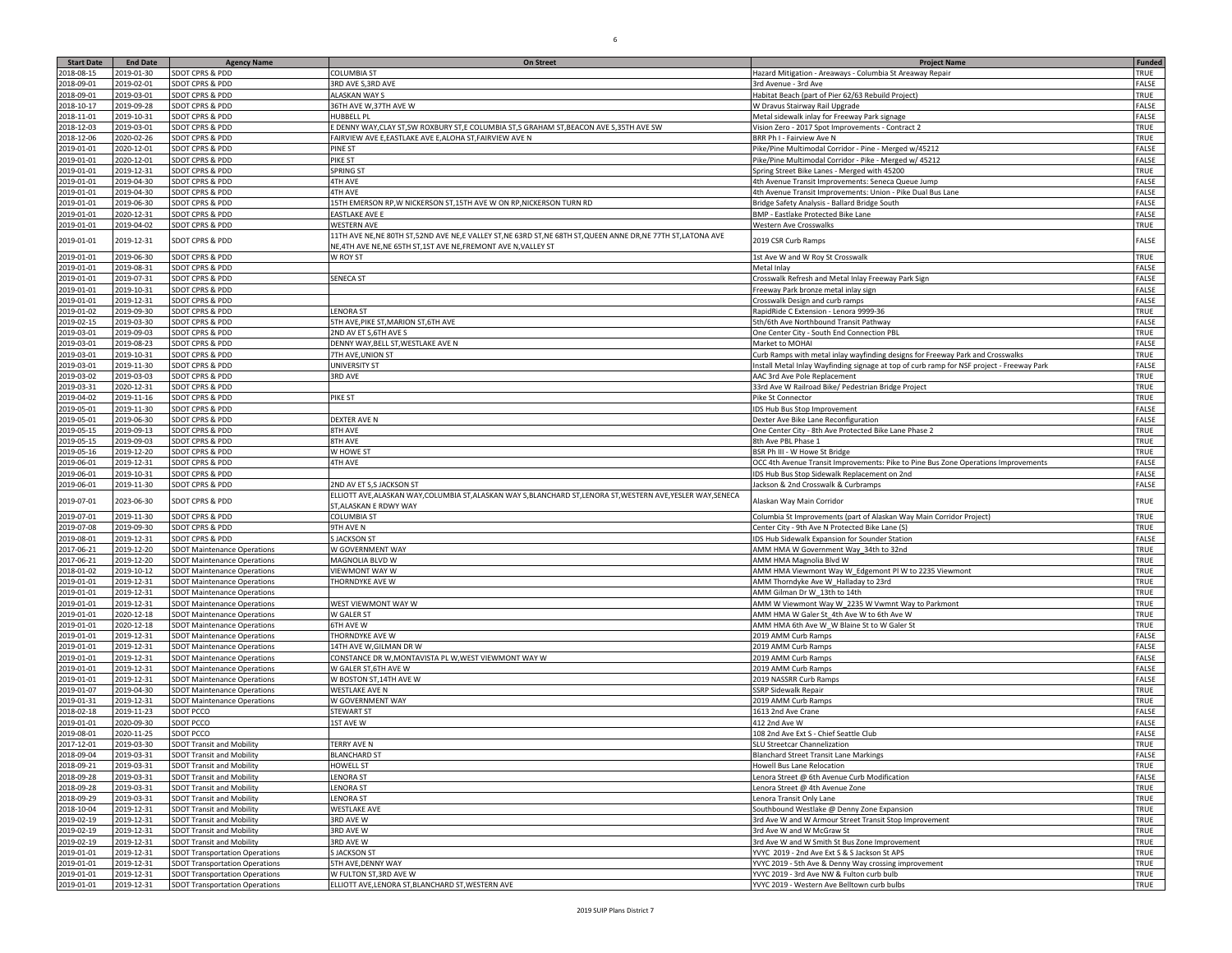| <b>Start Date</b>        | <b>End Date</b>          | <b>Agency Name</b>                                                       | <b>On Street</b>                                                                                                                         | <b>Project Name</b>                                                                        | <b>Funded</b>  |
|--------------------------|--------------------------|--------------------------------------------------------------------------|------------------------------------------------------------------------------------------------------------------------------------------|--------------------------------------------------------------------------------------------|----------------|
| 2018-08-15               | 2019-01-30               | SDOT CPRS & PDD                                                          | COLUMBIA ST                                                                                                                              | Hazard Mitigation - Areaways - Columbia St Areaway Repair                                  | TRUE           |
| 2018-09-01               | 2019-02-01               | SDOT CPRS & PDD                                                          | 3RD AVE S, 3RD AVE                                                                                                                       | 3rd Avenue - 3rd Ave                                                                       | FALSE          |
| 2018-09-01               | 2019-03-01               | <b>SDOT CPRS &amp; PDD</b>                                               | ALASKAN WAY S                                                                                                                            | Habitat Beach (part of Pier 62/63 Rebuild Project)                                         | TRUE           |
| 2018-10-17               | 2019-09-28               | SDOT CPRS & PDD                                                          | 36TH AVE W, 37TH AVE W                                                                                                                   | W Dravus Stairway Rail Upgrade                                                             | FALSE          |
| 2018-11-01               | 2019-10-31               | SDOT CPRS & PDD                                                          | HUBBELL PL                                                                                                                               | Metal sidewalk inlay for Freeway Park signage                                              | FALSE          |
| 2018-12-03               | 2019-03-01               | SDOT CPRS & PDD                                                          | DENNY WAY,CLAY ST,SW ROXBURY ST,E COLUMBIA ST,S GRAHAM ST,BEACON AVE S,35TH AVE SW                                                       | Vision Zero - 2017 Spot Improvements - Contract 2                                          | TRUE           |
| 2018-12-06               | 2020-02-26               | <b>SDOT CPRS &amp; PDD</b>                                               | FAIRVIEW AVE E,EASTLAKE AVE E,ALOHA ST,FAIRVIEW AVE N                                                                                    | BRR Ph I - Fairview Ave N                                                                  | TRUE           |
| 2019-01-01               | 2020-12-01               | <b>SDOT CPRS &amp; PDD</b>                                               | PINE ST                                                                                                                                  | Pike/Pine Multimodal Corridor - Pine - Merged w/45212                                      | FALSE          |
| 2019-01-01               | 2020-12-01               | SDOT CPRS & PDD                                                          | PIKE ST                                                                                                                                  | Pike/Pine Multimodal Corridor - Pike - Merged w/ 45212                                     | FALSE          |
| 2019-01-01               | 2019-12-31               | SDOT CPRS & PDD                                                          | SPRING ST                                                                                                                                | Spring Street Bike Lanes - Merged with 45200                                               | TRUE           |
| 2019-01-01               | 2019-04-30               | SDOT CPRS & PDD                                                          | 4TH AVE                                                                                                                                  | 4th Avenue Transit Improvements: Seneca Queue Jump                                         | FALSE          |
| 2019-01-01<br>2019-01-01 | 2019-04-30<br>2019-06-30 | SDOT CPRS & PDD                                                          | <b>4TH AVE</b>                                                                                                                           | 4th Avenue Transit Improvements: Union - Pike Dual Bus Lane                                | FALSE<br>FALSE |
|                          | 2020-12-31               | SDOT CPRS & PDD<br><b>SDOT CPRS &amp; PDD</b>                            | 15TH EMERSON RP, W NICKERSON ST, 15TH AVE W ON RP, NICKERSON TURN RD                                                                     | Bridge Safety Analysis - Ballard Bridge South<br><b>BMP - Eastlake Protected Bike Lane</b> | FALSE          |
| 2019-01-01<br>2019-01-01 | 2019-04-02               | SDOT CPRS & PDD                                                          | <b>EASTLAKE AVE E</b><br><b>WESTERN AVE</b>                                                                                              | Western Ave Crosswalks                                                                     | TRUE           |
|                          |                          |                                                                          | 11TH AVE NE, NE 80TH ST, 52ND AVE NE, E VALLEY ST, NE 63RD ST, NE 68TH ST, QUEEN ANNE DR, NE 77TH ST, LATONA AVE                         |                                                                                            |                |
| 2019-01-01               | 2019-12-31               | SDOT CPRS & PDD                                                          | NE,4TH AVE NE, NE 65TH ST,1ST AVE NE, FREMONT AVE N, VALLEY ST                                                                           | 2019 CSR Curb Ramps                                                                        | FALSE          |
| 2019-01-01               | 2019-06-30               | SDOT CPRS & PDD                                                          | W ROY ST                                                                                                                                 | 1st Ave W and W Roy St Crosswalk                                                           | TRUE           |
| 2019-01-01               | 2019-08-31               | SDOT CPRS & PDD                                                          |                                                                                                                                          | Metal Inlay                                                                                | FALSE          |
| 2019-01-01               | 2019-07-31               | SDOT CPRS & PDD                                                          | <b>SENECA ST</b>                                                                                                                         | Crosswalk Refresh and Metal Inlay Freeway Park Sign                                        | FALSE          |
| 2019-01-01               | 2019-10-31               | SDOT CPRS & PDD                                                          |                                                                                                                                          | Freeway Park bronze metal inlay sigr                                                       | FALSE          |
| 2019-01-01               | 2019-12-31               | SDOT CPRS & PDD                                                          |                                                                                                                                          | Crosswalk Design and curb ramps                                                            | FALSE          |
| 2019-01-02               | 2019-09-30               | SDOT CPRS & PDD                                                          | <b>ENORA ST</b>                                                                                                                          | RapidRide C Extension - Lenora 9999-36                                                     | TRUE           |
| 2019-02-15               | 2019-03-30               | <b>SDOT CPRS &amp; PDD</b>                                               | 5TH AVE, PIKE ST, MARION ST, 6TH AVE                                                                                                     | 5th/6th Ave Northbound Transit Pathway                                                     | FALSE          |
| 2019-03-01               | 2019-09-03               | SDOT CPRS & PDD                                                          | 2ND AV ET S,6TH AVE S                                                                                                                    | One Center City - South End Connection PBI                                                 | TRUE           |
| 2019-03-01               | 2019-08-23               | SDOT CPRS & PDD                                                          | DENNY WAY, BELL ST, WESTLAKE AVE N                                                                                                       | Market to MOHAI                                                                            | FALSE          |
| 2019-03-01               | 2019-10-31               | SDOT CPRS & PDD                                                          | 7TH AVE, UNION ST                                                                                                                        | Curb Ramps with metal inlay wayfinding designs for Freeway Park and Crosswalk:             | TRUE           |
| 2019-03-01               | 2019-11-30               | SDOT CPRS & PDD                                                          | <b>UNIVERSITY ST</b>                                                                                                                     | Install Metal Inlay Wayfinding signage at top of curb ramp for NSF project - Freeway Park  | FALSE          |
| 2019-03-02               | 2019-03-03               | SDOT CPRS & PDD                                                          | 3RD AVE                                                                                                                                  | AAC 3rd Ave Pole Replacement                                                               | TRUE           |
| 2019-03-31               | 2020-12-31               | SDOT CPRS & PDD                                                          |                                                                                                                                          | 33rd Ave W Railroad Bike/ Pedestrian Bridge Project                                        | TRUE           |
| 2019-04-02               | 2019-11-16               | SDOT CPRS & PDD                                                          | PIKE ST                                                                                                                                  | Pike St Connector                                                                          | TRUE           |
| 2019-05-01               | 2019-11-30               | SDOT CPRS & PDD                                                          |                                                                                                                                          | IDS Hub Bus Stop Improvement                                                               | FALSE          |
| 2019-05-01               | 2019-06-30               | SDOT CPRS & PDD                                                          | DEXTER AVE N                                                                                                                             | Dexter Ave Bike Lane Reconfiguration                                                       | FALSE          |
| 2019-05-15               | 2019-09-13               | SDOT CPRS & PDD                                                          | 8TH AVE                                                                                                                                  | One Center City - 8th Ave Protected Bike Lane Phase 2                                      | TRUE           |
| 2019-05-15               | 2019-09-03               | SDOT CPRS & PDD                                                          | 8TH AVE                                                                                                                                  | 8th Ave PBL Phase 1                                                                        | TRUE           |
| 2019-05-16               | 2019-12-20               | <b>SDOT CPRS &amp; PDD</b>                                               | W HOWE ST                                                                                                                                | BSR Ph III - W Howe St Bridge                                                              | TRUE           |
| 2019-06-01               | 2019-12-31               | SDOT CPRS & PDD                                                          | <b>4TH AVE</b>                                                                                                                           | OCC 4th Avenue Transit Improvements: Pike to Pine Bus Zone Operations Improvements         | FALSE          |
| 2019-06-01               | 2019-10-31               | SDOT CPRS & PDD                                                          |                                                                                                                                          | DS Hub Bus Stop Sidewalk Replacement on 2nd                                                | FALSE          |
| 2019-06-01               | 2019-11-30               | SDOT CPRS & PDD                                                          | 2ND AV ET S,S JACKSON ST                                                                                                                 | Jackson & 2nd Crosswalk & Curbramps                                                        | FALSE          |
| 2019-07-01               | 2023-06-30               | SDOT CPRS & PDD                                                          | ELLIOTT AVE, ALASKAN WAY, COLUMBIA ST, ALASKAN WAY S, BLANCHARD ST, LENORA ST, WESTERN AVE, YESLER WAY, SENECA<br>ST, ALASKAN E RDWY WAY | Alaskan Way Main Corridor                                                                  | TRUE           |
| 2019-07-01               | 2019-11-30               | SDOT CPRS & PDD                                                          | <b>COLUMBIA ST</b>                                                                                                                       | Columbia St Improvements (part of Alaskan Way Main Corridor Project)                       | TRUE           |
| 2019-07-08               | 2019-09-30               | SDOT CPRS & PDD                                                          | 9TH AVE N                                                                                                                                | Center City - 9th Ave N Protected Bike Lane (S)                                            | TRUE           |
| 2019-08-01               | 2019-12-31               | <b>SDOT CPRS &amp; PDD</b>                                               | S JACKSON ST                                                                                                                             | IDS Hub Sidewalk Expansion for Sounder Station                                             | FALSE          |
| 2017-06-21               | 2019-12-20               | SDOT Maintenance Operations                                              | W GOVERNMENT WAY                                                                                                                         | AMM HMA W Government Way_34th to 32nd                                                      | TRUE           |
| 2017-06-21               | 2019-12-20               | <b>SDOT Maintenance Operations</b>                                       | MAGNOLIA BLVD W                                                                                                                          | AMM HMA Magnolia Blvd W                                                                    | TRUE           |
| 2018-01-02               | 2019-10-12               | <b>SDOT Maintenance Operations</b>                                       | <b>VIEWMONT WAY W</b>                                                                                                                    | AMM HMA Viewmont Way W_Edgemont Pl W to 2235 Viewmont                                      | TRUE           |
| 2019-01-01               | 2019-12-31               | <b>SDOT Maintenance Operations</b>                                       | THORNDYKE AVE W                                                                                                                          | AMM Thorndyke Ave W_Halladay to 23rd                                                       | TRUE           |
| 2019-01-01               | 2019-12-31               | <b>SDOT Maintenance Operations</b>                                       |                                                                                                                                          | AMM Gilman Dr W 13th to 14th                                                               | TRUE           |
| 2019-01-01               | 2019-12-31               | <b>SDOT Maintenance Operations</b>                                       | WEST VIEWMONT WAY W                                                                                                                      | AMM W Viewmont Way W_2235 W Vwmnt Way to Parkmont                                          | TRUE           |
| 2019-01-01               | 2020-12-18               | <b>SDOT Maintenance Operations</b>                                       | W GALER ST                                                                                                                               | AMM HMA W Galer St_4th Ave W to 6th Ave W                                                  | TRUE           |
| 2019-01-01               | 2020-12-18               | <b>SDOT Maintenance Operations</b>                                       | <b>6TH AVE W</b>                                                                                                                         | AMM HMA 6th Ave W_W Blaine St to W Galer St                                                | TRUE           |
| 2019-01-01               | 2019-12-31               | <b>SDOT Maintenance Operations</b>                                       | THORNDYKE AVE W                                                                                                                          | 2019 AMM Curb Ramps                                                                        | FALSE          |
| 2019-01-01               | 2019-12-31               | <b>SDOT Maintenance Operations</b>                                       | 14TH AVE W, GILMAN DR W                                                                                                                  | 2019 AMM Curb Ramps                                                                        | FALSE          |
| 2019-01-01               | 2019-12-31               | <b>SDOT Maintenance Operations</b>                                       | CONSTANCE DR W, MONTAVISTA PL W, WEST VIEWMONT WAY W<br>W GALER ST,6TH AVE W                                                             | 2019 AMM Curb Ramps                                                                        | FALSE          |
| 2019-01-01<br>2019-01-01 | 2019-12-31<br>2019-12-31 | <b>SDOT Maintenance Operations</b><br><b>SDOT Maintenance Operations</b> |                                                                                                                                          | 2019 AMM Curb Ramps                                                                        | FALSE<br>FALSE |
| 2019-01-07               | 2019-04-30               | <b>SDOT Maintenance Operations</b>                                       | W BOSTON ST,14TH AVE W<br><b>WESTLAKE AVE N</b>                                                                                          | 2019 NASSRR Curb Ramps<br><b>SSRP Sidewalk Repair</b>                                      | TRUE           |
| 2019-01-31               | 2019-12-31               | SDOT Maintenance Operations                                              | W GOVERNMENT WAY                                                                                                                         | 2019 AMM Curb Ramps                                                                        | TRUE           |
| 2018-02-18               | 2019-11-23               | SDOT PCCO                                                                | <b>STEWART ST</b>                                                                                                                        | 1613 2nd Ave Crane                                                                         | FALSE          |
| 2019-01-01               | 2020-09-30               | SDOT PCCO                                                                | 1ST AVE W                                                                                                                                | 412 2nd Ave W                                                                              | FALSE          |
| 2019-08-01               | 2020-11-25               | SDOT PCCO                                                                |                                                                                                                                          | 108 2nd Ave Ext S - Chief Seattle Club                                                     | FALSE          |
| 2017-12-01               | 2019-03-30               | <b>SDOT Transit and Mobility</b>                                         | <b>TERRY AVE N</b>                                                                                                                       | SLU Streetcar Channelization                                                               | TRUE           |
| 2018-09-04               | 2019-03-31               | <b>SDOT Transit and Mobility</b>                                         | BLANCHARD ST                                                                                                                             | <b>Blanchard Street Transit Lane Markings</b>                                              | FALSE          |
| 2018-09-21               | 2019-03-31               | <b>SDOT Transit and Mobility</b>                                         | HOWELL ST                                                                                                                                | Howell Bus Lane Relocation                                                                 | TRUE           |
| 2018-09-28               | 2019-03-31               | <b>SDOT Transit and Mobility</b>                                         | <b>LENORA ST</b>                                                                                                                         | Lenora Street @ 6th Avenue Curb Modification                                               | FALSE          |
| 2018-09-28               | 2019-03-31               | <b>SDOT Transit and Mobility</b>                                         | <b>LENORA ST</b>                                                                                                                         | Lenora Street @ 4th Avenue Zone                                                            | TRUE           |
| 2018-09-29               | 2019-03-31               | <b>SDOT Transit and Mobility</b>                                         | <b>LENORA ST</b>                                                                                                                         | Lenora Transit Only Lane                                                                   | TRUE           |
| 2018-10-04               | 2019-12-31               | <b>SDOT Transit and Mobility</b>                                         | <b>WESTLAKE AVE</b>                                                                                                                      | Southbound Westlake @ Denny Zone Expansion                                                 | TRUE           |
| 2019-02-19               | 2019-12-31               | <b>SDOT Transit and Mobility</b>                                         | 3RD AVE W                                                                                                                                | 3rd Ave W and W Armour Street Transit Stop Improvement                                     | TRUE           |
| 2019-02-19               | 2019-12-31               | <b>SDOT Transit and Mobility</b>                                         | 3RD AVE W                                                                                                                                | 3rd Ave W and W McGraw St                                                                  | TRUE           |
| 2019-02-19               | 2019-12-31               | <b>SDOT Transit and Mobility</b>                                         | 3RD AVE W                                                                                                                                | 3rd Ave W and W Smith St Bus Zone Improvement                                              | TRUE           |
| 2019-01-01               | 2019-12-31               | <b>SDOT Transportation Operations</b>                                    | <b>S JACKSON ST</b>                                                                                                                      | YVYC 2019 - 2nd Ave Ext S & S Jackson St APS                                               | TRUE           |
| 2019-01-01               | 2019-12-31               | <b>SDOT Transportation Operations</b>                                    | 5TH AVE, DENNY WAY                                                                                                                       | YVYC 2019 - 5th Ave & Denny Way crossing improvement                                       | TRUE           |
| 2019-01-01               | 2019-12-31               | <b>SDOT Transportation Operations</b>                                    | W FULTON ST, 3RD AVE W                                                                                                                   | YVYC 2019 - 3rd Ave NW & Fulton curb bulb                                                  | TRUE           |
| 2019-01-01               | 2019-12-31               | <b>SDOT Transportation Operations</b>                                    | ELLIOTT AVE, LENORA ST, BLANCHARD ST, WESTERN AVE                                                                                        | YVYC 2019 - Western Ave Belltown curb bulbs                                                | TRUE           |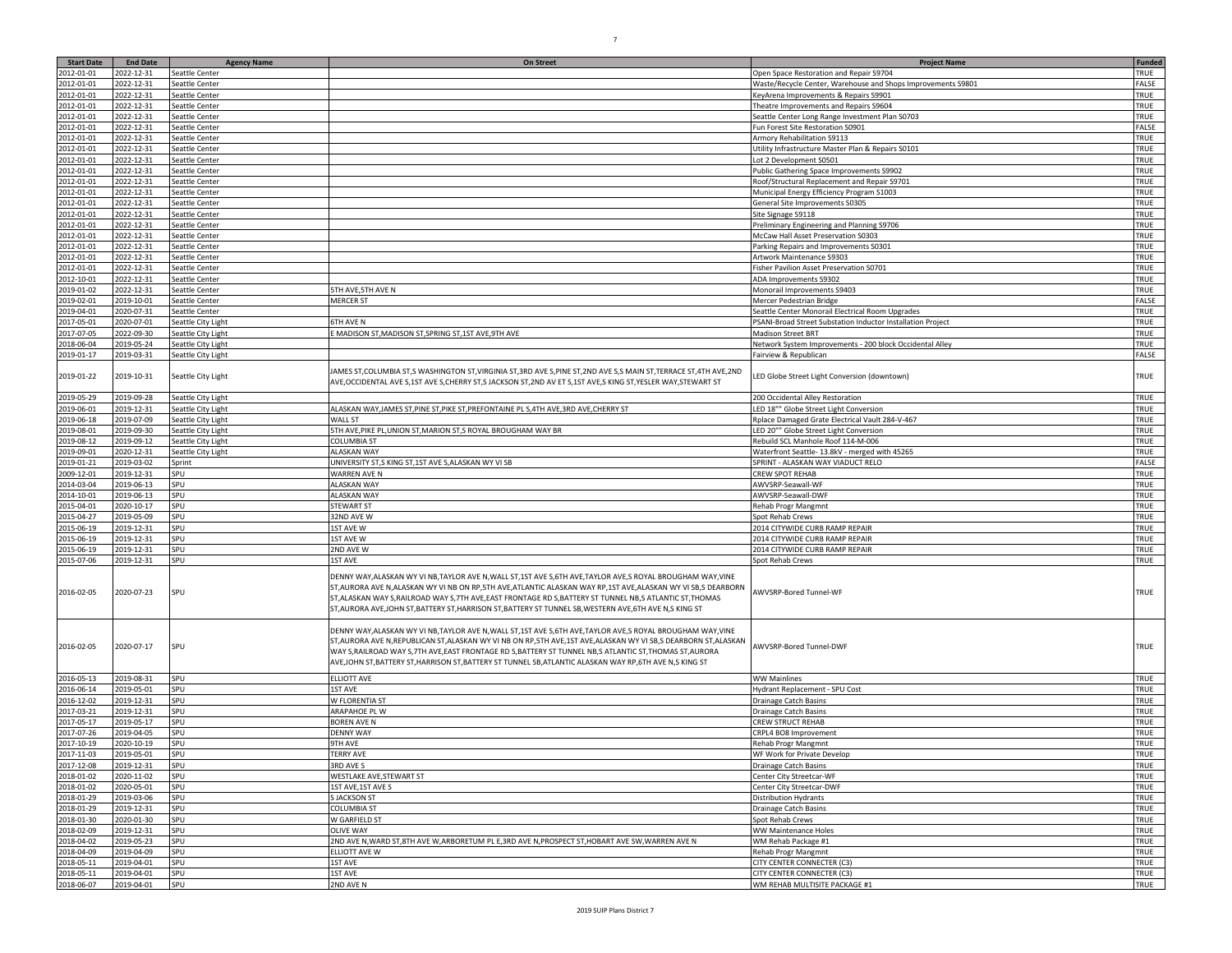|                   | <b>End Date</b> |                    |                                                                                                                                                                                                                                                                                                                                                                                                                                                  |                                                              | <b>Funded</b> |
|-------------------|-----------------|--------------------|--------------------------------------------------------------------------------------------------------------------------------------------------------------------------------------------------------------------------------------------------------------------------------------------------------------------------------------------------------------------------------------------------------------------------------------------------|--------------------------------------------------------------|---------------|
| <b>Start Date</b> |                 | <b>Agency Name</b> | <b>On Street</b>                                                                                                                                                                                                                                                                                                                                                                                                                                 | <b>Project Name</b>                                          |               |
| 012-01-01         | 022-12-31       | Seattle Center     |                                                                                                                                                                                                                                                                                                                                                                                                                                                  | Open Space Restoration and Repair S9704                      | TRUE          |
| 012-01-01         | 2022-12-31      | Seattle Center     |                                                                                                                                                                                                                                                                                                                                                                                                                                                  | Waste/Recycle Center, Warehouse and Shops Improvements S9801 | FALSE         |
| 012-01-01         | 2022-12-31      | Seattle Center     |                                                                                                                                                                                                                                                                                                                                                                                                                                                  | KeyArena Improvements & Repairs S9901                        | TRUE          |
| 012-01-01         | 2022-12-31      | Seattle Center     |                                                                                                                                                                                                                                                                                                                                                                                                                                                  | Theatre Improvements and Repairs S9604                       | TRUE          |
| 012-01-01         | 2022-12-31      | Seattle Center     |                                                                                                                                                                                                                                                                                                                                                                                                                                                  | eattle Center Long Range Investment Plan S0703               | TRUE          |
| 012-01-01         | 2022-12-31      | Seattle Center     |                                                                                                                                                                                                                                                                                                                                                                                                                                                  | un Forest Site Restoration S0901                             | FALSE         |
| 012-01-01         | 2022-12-31      | Seattle Center     |                                                                                                                                                                                                                                                                                                                                                                                                                                                  | Armory Rehabilitation S9113                                  | TRUE          |
| 012-01-01         | 2022-12-31      | Seattle Center     |                                                                                                                                                                                                                                                                                                                                                                                                                                                  | Jtility Infrastructure Master Plan & Repairs S0101           | TRUE          |
|                   |                 |                    |                                                                                                                                                                                                                                                                                                                                                                                                                                                  |                                                              |               |
| 012-01-01         | 2022-12-31      | Seattle Center     |                                                                                                                                                                                                                                                                                                                                                                                                                                                  | ot 2 Development S0501                                       | TRUE          |
| 012-01-01         | 2022-12-31      | Seattle Center     |                                                                                                                                                                                                                                                                                                                                                                                                                                                  | Public Gathering Space Improvements S9902                    | TRUE          |
| 012-01-01         | 2022-12-31      | Seattle Center     |                                                                                                                                                                                                                                                                                                                                                                                                                                                  | Roof/Structural Replacement and Repair S9701                 | TRUE          |
| 012-01-01         | 2022-12-31      | Seattle Center     |                                                                                                                                                                                                                                                                                                                                                                                                                                                  | Municipal Energy Efficiency Program S1003                    | TRUE          |
| 012-01-01         | 2022-12-31      | Seattle Center     |                                                                                                                                                                                                                                                                                                                                                                                                                                                  | General Site Improvements S0305                              | TRUE          |
| 2012-01-01        | 2022-12-31      | Seattle Center     |                                                                                                                                                                                                                                                                                                                                                                                                                                                  | Site Signage S9118                                           | TRUE          |
| 2012-01-01        | 2022-12-31      | Seattle Center     |                                                                                                                                                                                                                                                                                                                                                                                                                                                  | Preliminary Engineering and Planning S9706                   | TRUE          |
| 2012-01-01        | 2022-12-31      | Seattle Center     |                                                                                                                                                                                                                                                                                                                                                                                                                                                  | McCaw Hall Asset Preservation S0303                          | TRUE          |
| 012-01-01         | 2022-12-31      | Seattle Center     |                                                                                                                                                                                                                                                                                                                                                                                                                                                  | Parking Repairs and Improvements S0301                       | TRUE          |
| 012-01-01         | 2022-12-31      | Seattle Center     |                                                                                                                                                                                                                                                                                                                                                                                                                                                  |                                                              | TRUE          |
|                   |                 |                    |                                                                                                                                                                                                                                                                                                                                                                                                                                                  | Artwork Maintenance S9303                                    |               |
| 2012-01-01        | 2022-12-31      | Seattle Center     |                                                                                                                                                                                                                                                                                                                                                                                                                                                  | Fisher Pavilion Asset Preservation S0701                     | TRUE          |
| 2012-10-01        | 2022-12-31      | Seattle Center     |                                                                                                                                                                                                                                                                                                                                                                                                                                                  | ADA Improvements S9302                                       | TRUE          |
| 019-01-02         | 2022-12-31      | Seattle Center     | 5TH AVE, 5TH AVE N                                                                                                                                                                                                                                                                                                                                                                                                                               | Monorail Improvements S9403                                  | TRUE          |
| 2019-02-01        | 2019-10-01      | Seattle Center     | <b>MERCER ST</b>                                                                                                                                                                                                                                                                                                                                                                                                                                 | Mercer Pedestrian Bridge                                     | FALSE         |
| 019-04-01         | 2020-07-31      | Seattle Center     |                                                                                                                                                                                                                                                                                                                                                                                                                                                  | Seattle Center Monorail Electrical Room Upgrades             | TRUE          |
| 017-05-01         | 2020-07-01      | Seattle City Light | 6TH AVE N                                                                                                                                                                                                                                                                                                                                                                                                                                        | 'SANI-Broad Street Substation Inductor Installation Project  | TRUE          |
| 017-07-05         | 2022-09-30      | Seattle City Light | MADISON ST, MADISON ST, SPRING ST, 1ST AVE, 9TH AVE                                                                                                                                                                                                                                                                                                                                                                                              | Madison Street BRT                                           | TRUE          |
| 018-06-04         | 2019-05-24      | Seattle City Light |                                                                                                                                                                                                                                                                                                                                                                                                                                                  | Network System Improvements - 200 block Occidental Alley     | TRUE          |
| 019-01-17         | 2019-03-31      | Seattle City Light |                                                                                                                                                                                                                                                                                                                                                                                                                                                  | airview & Republican                                         | FALSE         |
|                   |                 |                    |                                                                                                                                                                                                                                                                                                                                                                                                                                                  |                                                              |               |
| 2019-01-22        | 2019-10-31      | Seattle City Light | JAMES ST,COLUMBIA ST,S WASHINGTON ST,VIRGINIA ST,3RD AVE S,PINE ST,2ND AVE S,S MAIN ST,TERRACE ST,4TH AVE,2ND<br>AVE,OCCIDENTAL AVE S,1ST AVE S,CHERRY ST,S JACKSON ST,2ND AV ET S,1ST AVE,S KING ST,YESLER WAY,STEWART ST                                                                                                                                                                                                                       | LED Globe Street Light Conversion (downtown)                 | TRUE          |
| 2019-05-29        | 2019-09-28      | Seattle City Light |                                                                                                                                                                                                                                                                                                                                                                                                                                                  | 200 Occidental Alley Restoration                             | TRUE          |
| 2019-06-01        | 2019-12-31      | Seattle City Light | ALASKAN WAY, JAMES ST, PINE ST, PIKE ST, PREFONTAINE PL S, 4TH AVE, 3RD AVE, CHERRY ST                                                                                                                                                                                                                                                                                                                                                           | LED 18"" Globe Street Light Conversion                       | TRUE          |
| 019-06-18         | 2019-07-09      |                    | <b>WALL ST</b>                                                                                                                                                                                                                                                                                                                                                                                                                                   | Rplace Damaged Grate Electrical Vault 284-V-467              | TRUE          |
|                   |                 | Seattle City Light |                                                                                                                                                                                                                                                                                                                                                                                                                                                  |                                                              |               |
| 2019-08-01        | 2019-09-30      | Seattle City Light | 5TH AVE,PIKE PL,UNION ST,MARION ST,S ROYAL BROUGHAM WAY BR                                                                                                                                                                                                                                                                                                                                                                                       | LED 20"" Globe Street Light Conversion                       | TRUE          |
| 2019-08-12        | 2019-09-12      | Seattle City Light | COLUMBIA ST                                                                                                                                                                                                                                                                                                                                                                                                                                      | Rebuild SCL Manhole Roof 114-M-006                           | TRUE          |
| 019-09-01         | 2020-12-31      | Seattle City Light | <b>ALASKAN WAY</b>                                                                                                                                                                                                                                                                                                                                                                                                                               | Waterfront Seattle- 13.8kV - merged with 45265               | TRUE          |
| 019-01-21         | 2019-03-02      | Sprint             | JNIVERSITY ST,S KING ST,1ST AVE S,ALASKAN WY VI SB                                                                                                                                                                                                                                                                                                                                                                                               | SPRINT - ALASKAN WAY VIADUCT RELO                            | <b>FALSE</b>  |
| 009-12-01         | 2019-12-31      | SPU                | <b>WARREN AVE N</b>                                                                                                                                                                                                                                                                                                                                                                                                                              | CREW SPOT REHAB                                              | TRUE          |
| 014-03-04         | 2019-06-13      | SPU                | <b>ALASKAN WAY</b>                                                                                                                                                                                                                                                                                                                                                                                                                               | AWVSRP-Seawall-WF                                            | TRUE          |
| $2014 - 10 - 01$  | 2019-06-13      | SPU                | <b>ALASKAN WAY</b>                                                                                                                                                                                                                                                                                                                                                                                                                               | AWVSRP-Seawall-DWF                                           | TRUE          |
| 015-04-01         | 2020-10-17      | SPU                | STEWART ST                                                                                                                                                                                                                                                                                                                                                                                                                                       | Rehab Progr Mangmnt                                          | TRUE          |
| 015-04-27         | 2019-05-09      | SPU                | 32ND AVE W                                                                                                                                                                                                                                                                                                                                                                                                                                       | Spot Rehab Crews                                             | TRUE          |
| 015-06-19         | 2019-12-31      | SPU                | <b>1ST AVE W</b>                                                                                                                                                                                                                                                                                                                                                                                                                                 | 2014 CITYWIDE CURB RAMP REPAIR                               | TRUE          |
| 015-06-19         | 2019-12-31      | SPU                | <b>1ST AVE W</b>                                                                                                                                                                                                                                                                                                                                                                                                                                 | 2014 CITYWIDE CURB RAMP REPAIR                               | TRUE          |
| 015-06-19         | 2019-12-31      | SPU                | 2ND AVE W                                                                                                                                                                                                                                                                                                                                                                                                                                        | 2014 CITYWIDE CURB RAMP REPAIR                               | TRUE          |
| 015-07-06         | 2019-12-31      | SPU                | 1ST AVE                                                                                                                                                                                                                                                                                                                                                                                                                                          | Spot Rehab Crews                                             | TRUE          |
|                   |                 |                    |                                                                                                                                                                                                                                                                                                                                                                                                                                                  |                                                              |               |
| 2016-02-05        | 2020-07-23      | SPU                | DENNY WAY, ALASKAN WY VI NB, TAYLOR AVE N, WALL ST, 1ST AVE S, 6TH AVE, TAYLOR AVE, S ROYAL BROUGHAM WAY, VINE<br>ST, AURORA AVE N, ALASKAN WY VI NB ON RP, STH AVE, ATLANTIC ALASKAN WAY RP, 1ST AVE, ALASKAN WY VI SB, S DEARBORN<br>ST,ALASKAN WAY S,RAILROAD WAY S,7TH AVE,EAST FRONTAGE RD S,BATTERY ST TUNNEL NB,S ATLANTIC ST,THOMAS<br>ST,AURORA AVE,JOHN ST,BATTERY ST,HARRISON ST,BATTERY ST TUNNEL SB,WESTERN AVE,6TH AVE N,S KING ST | AWVSRP-Bored Tunnel-WF                                       | TRUE          |
| 2016-02-05        | 2020-07-17      | SPU                | DENNY WAY,ALASKAN WY VI NB,TAYLOR AVE N,WALL ST,1ST AVE S,6TH AVE,TAYLOR AVE,S ROYAL BROUGHAM WAY,VINE<br>ST,AURORA AVE N,REPUBLICAN ST,ALASKAN WY VI NB ON RP,5TH AVE,1ST AVE,ALASKAN WY VI SB,S DEARBORN ST,ALASKAN<br>WAY S,RAILROAD WAY S,7TH AVE,EAST FRONTAGE RD S,BATTERY ST TUNNEL NB,S ATLANTIC ST,THOMAS ST,AURORA<br>AVE,JOHN ST,BATTERY ST,HARRISON ST,BATTERY ST TUNNEL SB,ATLANTIC ALASKAN WAY RP,6TH AVE N,S KING ST              | AWVSRP-Bored Tunnel-DWF                                      | TRUE          |
| 2016-05-13        | 2019-08-31      | SPU                | <b>LLIOTT AVE</b>                                                                                                                                                                                                                                                                                                                                                                                                                                | WW Mainlines                                                 | TRUE          |
| 016-06-14         | 2019-05-01      | SPU                | <b>1ST AVE</b>                                                                                                                                                                                                                                                                                                                                                                                                                                   | lydrant Replacement - SPU Cost                               | TRUE          |
| 016-12-02         | 2019-12-31      | SPU                | W FLORENTIA ST                                                                                                                                                                                                                                                                                                                                                                                                                                   | Drainage Catch Basins                                        | TRUE          |
| 017-03-21         | 2019-12-31      | SPU                | ARAPAHOE PL W                                                                                                                                                                                                                                                                                                                                                                                                                                    | Drainage Catch Basins                                        | TRUE          |
| 017-05-17         | 2019-05-17      | SPU                | BOREN AVE N                                                                                                                                                                                                                                                                                                                                                                                                                                      | CREW STRUCT REHAB                                            | TRUE          |
| 017-07-26         | 2019-04-05      | SPU                | DENNY WAY                                                                                                                                                                                                                                                                                                                                                                                                                                        | CRPL4 BO8 Improvement                                        | TRUE          |
| 2017-10-19        | 2020-10-19      | SPU                | <b>9TH AVE</b>                                                                                                                                                                                                                                                                                                                                                                                                                                   |                                                              | TRUE          |
|                   |                 |                    |                                                                                                                                                                                                                                                                                                                                                                                                                                                  | <b>Rehab Progr Mangmnt</b><br>WF Work for Private Develop    |               |
| 2017-11-03        | 2019-05-01      | SPU                | TERRY AVE                                                                                                                                                                                                                                                                                                                                                                                                                                        |                                                              | TRUE          |
| 2017-12-08        | 2019-12-31      | SPU                | 3RD AVE S                                                                                                                                                                                                                                                                                                                                                                                                                                        | Drainage Catch Basins                                        | TRUE          |
| 2018-01-02        | 2020-11-02      | SPU                | WESTLAKE AVE, STEWART ST                                                                                                                                                                                                                                                                                                                                                                                                                         | Center City Streetcar-WF                                     | TRUE          |
| 2018-01-02        | 2020-05-01      | SPU                | 1ST AVE, 1ST AVE S                                                                                                                                                                                                                                                                                                                                                                                                                               | Center City Streetcar-DWF                                    | TRUE          |
| 018-01-29         | 2019-03-06      | SPU                | <b>SJACKSON ST</b>                                                                                                                                                                                                                                                                                                                                                                                                                               | Distribution Hydrants                                        | TRUE          |
| 2018-01-29        | 2019-12-31      | SPU                | COLUMBIA ST                                                                                                                                                                                                                                                                                                                                                                                                                                      | Drainage Catch Basins                                        | TRUE          |
| 2018-01-30        | 2020-01-30      | SPU                | W GARFIELD ST                                                                                                                                                                                                                                                                                                                                                                                                                                    | Spot Rehab Crews                                             | TRUE          |
| 2018-02-09        | 2019-12-31      | SPU                | <b>OLIVE WAY</b>                                                                                                                                                                                                                                                                                                                                                                                                                                 | <b>WW Maintenance Holes</b>                                  | TRUE          |
| 2018-04-02        | 2019-05-23      | SPU                | 2ND AVE N,WARD ST,8TH AVE W,ARBORETUM PL E,3RD AVE N,PROSPECT ST,HOBART AVE SW,WARREN AVE N                                                                                                                                                                                                                                                                                                                                                      | WM Rehab Package #1                                          | TRUE          |
| 2018-04-09        | 2019-04-09      | SPU                | ELLIOTT AVE W                                                                                                                                                                                                                                                                                                                                                                                                                                    | Rehab Progr Mangmnt                                          | TRUE          |
| 2018-05-11        | 2019-04-01      | SPU                | 1ST AVE                                                                                                                                                                                                                                                                                                                                                                                                                                          | CITY CENTER CONNECTER (C3)                                   | TRUE          |
| 2018-05-11        | 2019-04-01      | SPU                | 1ST AVE                                                                                                                                                                                                                                                                                                                                                                                                                                          | CITY CENTER CONNECTER (C3)                                   | TRUE          |
|                   |                 |                    |                                                                                                                                                                                                                                                                                                                                                                                                                                                  |                                                              |               |
| 2018-06-07        | 2019-04-01      | SPU                | 2ND AVE N                                                                                                                                                                                                                                                                                                                                                                                                                                        | WM REHAB MULTISITE PACKAGE #1                                | TRUE          |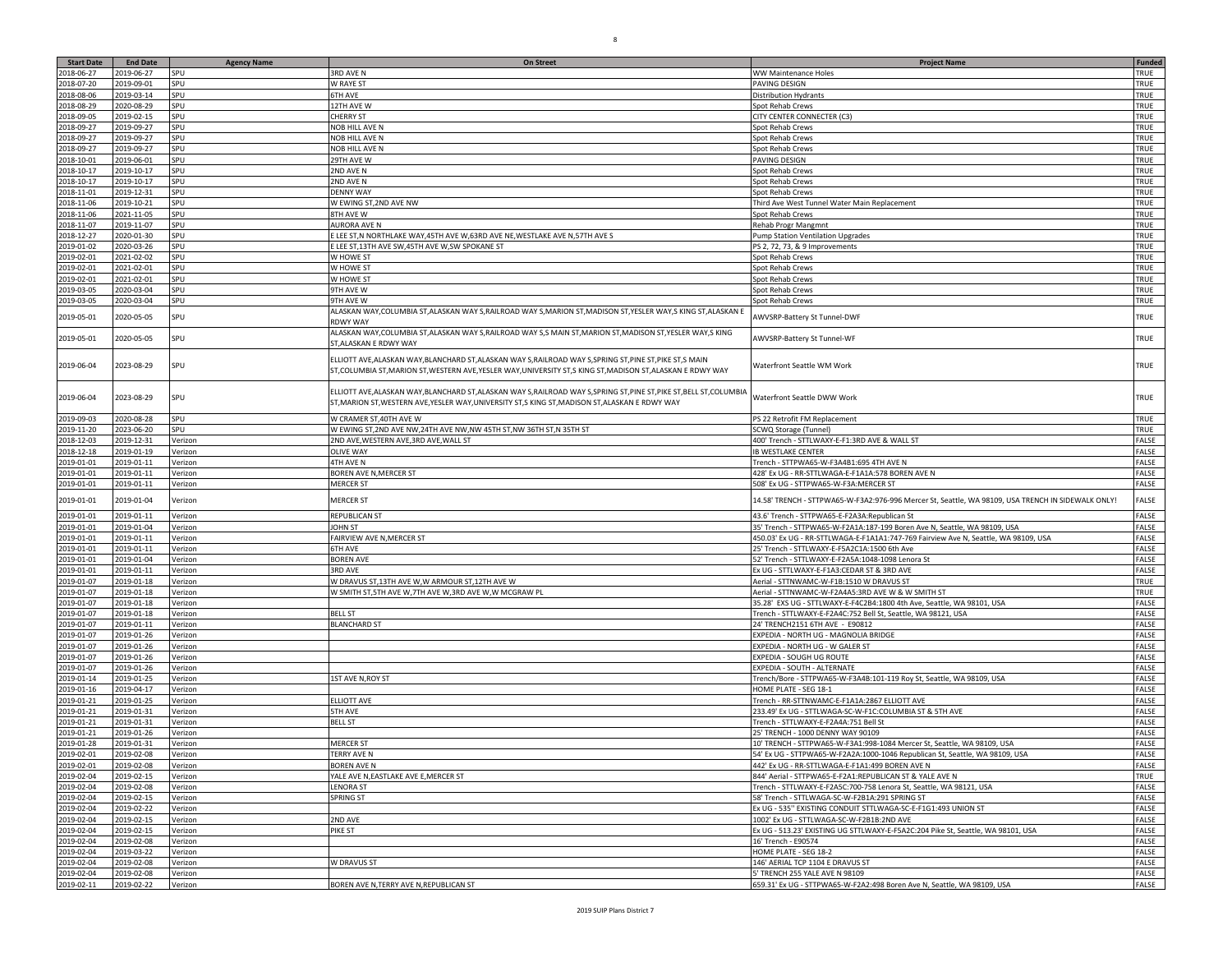| <b>Start Date</b>        | <b>End Date</b>          | <b>Agency Name</b> | On Street                                                                                                                                                                                                                 | <b>Project Name</b>                                                                                                                                     | <b>Funded</b>  |
|--------------------------|--------------------------|--------------------|---------------------------------------------------------------------------------------------------------------------------------------------------------------------------------------------------------------------------|---------------------------------------------------------------------------------------------------------------------------------------------------------|----------------|
| 2018-06-27               | 2019-06-27               | SPU                | 3RD AVE N                                                                                                                                                                                                                 | WW Maintenance Holes                                                                                                                                    | TRUE           |
| 2018-07-20               | 2019-09-01               | SPU                | W RAYE ST                                                                                                                                                                                                                 | PAVING DESIGN                                                                                                                                           | TRUE           |
| 2018-08-06               | 2019-03-14               | SPU                | <b>5TH AVE</b>                                                                                                                                                                                                            | <b>Distribution Hydrants</b>                                                                                                                            | TRUE           |
| 2018-08-29               | 2020-08-29               | SPU                | 12TH AVE W                                                                                                                                                                                                                | Spot Rehab Crews                                                                                                                                        | TRUE           |
| 2018-09-05               | 2019-02-15               | SPU                | <b>CHERRY ST</b>                                                                                                                                                                                                          | CITY CENTER CONNECTER (C3)                                                                                                                              | TRUE           |
| 2018-09-27               | 2019-09-27               | SPU                | NOB HILL AVE N                                                                                                                                                                                                            | Spot Rehab Crews                                                                                                                                        | TRUE           |
| 2018-09-27               | 2019-09-27               | SPU                | NOB HILL AVE N                                                                                                                                                                                                            | Spot Rehab Crews                                                                                                                                        | TRUE           |
| 2018-09-27               | 2019-09-27               | SPU                | <b>NOB HILL AVE N</b>                                                                                                                                                                                                     | Spot Rehab Crews                                                                                                                                        | TRUE           |
| 2018-10-01<br>2018-10-17 | 2019-06-01               | SPU<br>SPU         | 29TH AVE W<br>2ND AVE N                                                                                                                                                                                                   | PAVING DESIGN                                                                                                                                           | TRUE<br>TRUE   |
| 2018-10-17               | 2019-10-17<br>2019-10-17 | SPU                | 2ND AVE N                                                                                                                                                                                                                 | Spot Rehab Crews<br>Spot Rehab Crews                                                                                                                    | TRUE           |
| 2018-11-01               | 2019-12-31               | SPU                | <b>DENNY WAY</b>                                                                                                                                                                                                          | Spot Rehab Crews                                                                                                                                        | TRUE           |
| 2018-11-06               | 2019-10-21               | SPU                | W EWING ST,2ND AVE NW                                                                                                                                                                                                     | Third Ave West Tunnel Water Main Replacement                                                                                                            | TRUE           |
| 2018-11-06               | 2021-11-05               | SPU                | 8TH AVE W                                                                                                                                                                                                                 | Spot Rehab Crews                                                                                                                                        | TRUE           |
| 2018-11-07               | 2019-11-07               | SPU                | AURORA AVE N                                                                                                                                                                                                              | Rehab Progr Mangmnt                                                                                                                                     | TRUE           |
| 2018-12-27               | 2020-01-30               | SPU                | E LEE ST,N NORTHLAKE WAY,45TH AVE W,63RD AVE NE,WESTLAKE AVE N,57TH AVE S                                                                                                                                                 | Pump Station Ventilation Upgrades                                                                                                                       | TRUE           |
| 2019-01-02               | 2020-03-26               | SPU                | E LEE ST,13TH AVE SW,45TH AVE W,SW SPOKANE ST                                                                                                                                                                             | PS 2, 72, 73, & 9 Improvements                                                                                                                          | TRUE           |
| 2019-02-01               | 2021-02-02               | SPU                | W HOWE ST                                                                                                                                                                                                                 | Spot Rehab Crews                                                                                                                                        | TRUE           |
| 2019-02-01               | 2021-02-01               | SPU                | W HOWE ST                                                                                                                                                                                                                 | Spot Rehab Crews                                                                                                                                        | TRUE           |
| 2019-02-01               | 2021-02-01               | SPU                | W HOWE ST                                                                                                                                                                                                                 | Spot Rehab Crews                                                                                                                                        | TRUE           |
| 2019-03-05               | 2020-03-04               | SPU                | 9TH AVE W                                                                                                                                                                                                                 | Spot Rehab Crews                                                                                                                                        | TRUE           |
| 2019-03-05               | 2020-03-04               | SPU                | 9TH AVE W                                                                                                                                                                                                                 | Spot Rehab Crews                                                                                                                                        | TRUE           |
| 2019-05-01               | 2020-05-05               | SPU                | ALASKAN WAY,COLUMBIA ST,ALASKAN WAY S,RAILROAD WAY S,MARION ST,MADISON ST,YESLER WAY,S KING ST,ALASKAN E<br>RDWY WAY                                                                                                      | AWVSRP-Battery St Tunnel-DWF                                                                                                                            | TRUE           |
| 2019-05-01               | 2020-05-05               | SPU                | ALASKAN WAY,COLUMBIA ST,ALASKAN WAY S,RAILROAD WAY S,S MAIN ST,MARION ST,MADISON ST,YESLER WAY,S KING<br>ST,ALASKAN E RDWY WAY                                                                                            | AWVSRP-Battery St Tunnel-WF                                                                                                                             | TRUE           |
| 2019-06-04               | 2023-08-29               | SPU                | ELLIOTT AVE,ALASKAN WAY,BLANCHARD ST,ALASKAN WAY S,RAILROAD WAY S,SPRING ST,PINE ST,PIKE ST,S MAIN<br>ST, COLUMBIA ST, MARION ST, WESTERN AVE, YESLER WAY, UNIVERSITY ST, S KING ST, MADISON ST, ALASKAN E RDWY WAY       | Waterfront Seattle WM Work                                                                                                                              | TRUE           |
| 2019-06-04               | 2023-08-29               | SPU                | ELLIOTT AVE, ALASKAN WAY, BLANCHARD ST, ALASKAN WAY S, RAILROAD WAY S, SPRING ST, PINE ST, PIKE ST, BELL ST, COLUMBIA<br>ST, MARION ST, WESTERN AVE, YESLER WAY, UNIVERSITY ST, S KING ST, MADISON ST, ALASKAN E RDWY WAY | Waterfront Seattle DWW Work                                                                                                                             | TRUE           |
| 2019-09-03               | 2020-08-28               | SPU                | W CRAMER ST, 40TH AVE W                                                                                                                                                                                                   | PS 22 Retrofit FM Replacement                                                                                                                           | TRUE           |
| 2019-11-20               | 2023-06-20               | SPU                | W EWING ST,2ND AVE NW,24TH AVE NW,NW 45TH ST,NW 36TH ST,N 35TH ST                                                                                                                                                         | <b>SCWQ Storage (Tunnel)</b>                                                                                                                            | TRUE           |
| 2018-12-03               | 2019-12-31               | Verizon            | 2ND AVE, WESTERN AVE, 3RD AVE, WALL ST                                                                                                                                                                                    | 400' Trench - STTLWAXY-E-F1:3RD AVE & WALL ST                                                                                                           | FALSE          |
| 2018-12-18               | 2019-01-19               | Verizon            | <b>OLIVE WAY</b>                                                                                                                                                                                                          | <b>IB WESTLAKE CENTER</b>                                                                                                                               | FALSE          |
| 2019-01-01               | 2019-01-11               | Verizon            | 4TH AVE N                                                                                                                                                                                                                 | Trench - STTPWA65-W-F3A4B1:695 4TH AVE N                                                                                                                | FALSE          |
| 2019-01-01               | 2019-01-11               | Verizon            | BOREN AVE N, MERCER ST                                                                                                                                                                                                    | 428' Ex UG - RR-STTLWAGA-E-F1A1A:578 BOREN AVE N                                                                                                        | FALSE          |
| 2019-01-01               | 2019-01-11               | Verizon            | MERCER ST                                                                                                                                                                                                                 | 508' Ex UG - STTPWA65-W-F3A:MERCER ST                                                                                                                   | FALSE          |
| 2019-01-01               | 2019-01-04               | Verizon            | MERCER ST                                                                                                                                                                                                                 | 14.58' TRENCH - STTPWA65-W-F3A2:976-996 Mercer St, Seattle, WA 98109, USA TRENCH IN SIDEWALK ONLY!                                                      | FALSE          |
| 2019-01-01               | 2019-01-11               | Verizon            | REPUBLICAN ST                                                                                                                                                                                                             | 43.6' Trench - STTPWA65-E-F2A3A:Republican St                                                                                                           | FALSE          |
| 2019-01-01               | 2019-01-04               | Verizon            | <b>JOHN ST</b>                                                                                                                                                                                                            | 35' Trench - STTPWA65-W-F2A1A:187-199 Boren Ave N, Seattle, WA 98109, USA                                                                               | FALSE          |
| 2019-01-01               | 2019-01-11               | Verizon            | FAIRVIEW AVE N, MERCER ST                                                                                                                                                                                                 | 450.03' Ex UG - RR-STTLWAGA-E-F1A1A1:747-769 Fairview Ave N, Seattle, WA 98109, USA                                                                     | FALSE<br>FALSE |
| 2019-01-01<br>2019-01-01 | 2019-01-11<br>2019-01-04 | Verizon            | 6TH AVE<br><b>BOREN AVE</b>                                                                                                                                                                                               | 25' Trench - STTLWAXY-E-F5A2C1A:1500 6th Ave<br>52' Trench - STTLWAXY-E-F2A5A:1048-1098 Lenora St                                                       | FALSE          |
| 2019-01-01               | 2019-01-11               | Verizon<br>Verizon | 3RD AVE                                                                                                                                                                                                                   | Ex UG - STTLWAXY-E-F1A3:CEDAR ST & 3RD AVE                                                                                                              | FALSE          |
| 2019-01-07               | 2019-01-18               | Verizon            | W DRAVUS ST,13TH AVE W,W ARMOUR ST,12TH AVE W                                                                                                                                                                             | Aerial - STTNWAMC-W-F1B:1510 W DRAVUS ST                                                                                                                | TRUE           |
| 2019-01-07               | 2019-01-18               | Verizon            | N SMITH ST,5TH AVE W,7TH AVE W,3RD AVE W,W MCGRAW PL                                                                                                                                                                      | Aerial - STTNWAMC-W-F2A4A5:3RD AVE W & W SMITH ST                                                                                                       | TRUE           |
| 2019-01-07               | 2019-01-18               | Verizon            |                                                                                                                                                                                                                           | 35.28' EXS UG - STTLWAXY-E-F4C2B4:1800 4th Ave, Seattle, WA 98101, USA                                                                                  | FALSE          |
| 2019-01-07               | 2019-01-18               | Verizon            | <b>BELL ST</b>                                                                                                                                                                                                            | Trench - STTLWAXY-E-F2A4C:752 Bell St, Seattle, WA 98121, USA                                                                                           | FALSE          |
| 2019-01-07               | 2019-01-11               | Verizon            | <b>BLANCHARD ST</b>                                                                                                                                                                                                       | 24' TRENCH2151 6TH AVE - E90812                                                                                                                         | <b>FALSE</b>   |
| 2019-01-07               | 2019-01-26               | Verizon            |                                                                                                                                                                                                                           | EXPEDIA - NORTH UG - MAGNOLIA BRIDGE                                                                                                                    | FALSE          |
| 2019-01-07               | 2019-01-26               | Verizon            |                                                                                                                                                                                                                           | EXPEDIA - NORTH UG - W GALER ST                                                                                                                         | FALSE          |
| 2019-01-07               | 2019-01-26               | Verizon            |                                                                                                                                                                                                                           | EXPEDIA - SOUGH UG ROUTE                                                                                                                                | FALSE          |
| 2019-01-07               | 2019-01-26               | Verizon            |                                                                                                                                                                                                                           | EXPEDIA - SOUTH - ALTERNATE                                                                                                                             | FALSE          |
| 2019-01-14               | 2019-01-25               | Verizon            | 1ST AVE N, ROY ST                                                                                                                                                                                                         | Trench/Bore - STTPWA65-W-F3A4B:101-119 Roy St, Seattle, WA 98109, USA                                                                                   | FALSE          |
| 2019-01-16               | 2019-04-17               | Verizon            |                                                                                                                                                                                                                           | HOME PLATE - SEG 18-1                                                                                                                                   | <b>FALSE</b>   |
| 2019-01-21               | 2019-01-25               | Verizon            | ELLIOTT AVE                                                                                                                                                                                                               | Trench - RR-STTNWAMC-E-F1A1A:2867 ELLIOTT AVE                                                                                                           | FALSE          |
| 2019-01-21               | 2019-01-31               | Verizon            | <b>5TH AVE</b>                                                                                                                                                                                                            | 233.49' Ex UG - STTLWAGA-SC-W-F1C:COLUMBIA ST & 5TH AVE                                                                                                 | FALSE          |
| 2019-01-21               | 2019-01-31               | Verizon            | <b>BELL ST</b>                                                                                                                                                                                                            | Trench - STTLWAXY-E-F2A4A:751 Bell St                                                                                                                   | FALSE          |
| 2019-01-21               | 2019-01-26               | Verizon            |                                                                                                                                                                                                                           | 25' TRENCH - 1000 DENNY WAY 90109                                                                                                                       | FALSE          |
| 2019-01-28<br>2019-02-01 | 2019-01-31<br>2019-02-08 | Verizon<br>Verizon | <b>MERCER ST</b><br>TERRY AVE N                                                                                                                                                                                           | 10' TRENCH - STTPWA65-W-F3A1:998-1084 Mercer St, Seattle, WA 98109, USA<br>54' Ex UG - STTPWA65-W-F2A2A:1000-1046 Republican St, Seattle, WA 98109, USA | FALSE<br>FALSE |
| 2019-02-01               | 2019-02-08               | Verizon            | <b>BOREN AVE N</b>                                                                                                                                                                                                        | 442' Ex UG - RR-STTLWAGA-E-F1A1:499 BOREN AVE N                                                                                                         | FALSE          |
| 2019-02-04               | 2019-02-15               | Verizon            | YALE AVE N, EASTLAKE AVE E, MERCER ST                                                                                                                                                                                     | 844' Aerial - STTPWA65-E-F2A1:REPUBLICAN ST & YALE AVE N                                                                                                | TRUE           |
| 2019-02-04               | 2019-02-08               | Verizon            | <b>LENORA ST</b>                                                                                                                                                                                                          | Trench - STTLWAXY-E-F2A5C:700-758 Lenora St, Seattle, WA 98121, USA                                                                                     | FALSE          |
| 2019-02-04               | 2019-02-15               | Verizon            | SPRING ST                                                                                                                                                                                                                 | 58' Trench - STTLWAGA-SC-W-F2B1A:291 SPRING ST                                                                                                          | FALSE          |
| 2019-02-04               | 2019-02-22               | Verizon            |                                                                                                                                                                                                                           | Ex UG - 535" EXISTING CONDUIT STTLWAGA-SC-E-F1G1:493 UNION ST                                                                                           | FALSE          |
| 2019-02-04               | 2019-02-15               | Verizon            | 2ND AVE                                                                                                                                                                                                                   | 1002' Ex UG - STTLWAGA-SC-W-F2B1B:2ND AVE                                                                                                               | FALSE          |
| 2019-02-04               | 2019-02-15               | Verizon            | PIKE ST                                                                                                                                                                                                                   | Ex UG - 513.23' EXISTING UG STTLWAXY-E-F5A2C:204 Pike St, Seattle, WA 98101, USA                                                                        | FALSE          |
| 2019-02-04               | 2019-02-08               | Verizon            |                                                                                                                                                                                                                           | 16' Trench - E90574                                                                                                                                     | FALSE          |
| 2019-02-04               | 2019-03-22               | Verizon            |                                                                                                                                                                                                                           | HOME PLATE - SEG 18-2                                                                                                                                   | FALSE          |
| 2019-02-04               | 2019-02-08               | Verizon            | W DRAVUS ST                                                                                                                                                                                                               | 146' AERIAL TCP 1104 E DRAVUS ST                                                                                                                        | FALSE          |
| 2019-02-04               | 2019-02-08               | Verizon            |                                                                                                                                                                                                                           | 5' TRENCH 255 YALE AVE N 98109                                                                                                                          | FALSE          |
| 2019-02-11               | 2019-02-22               | Verizon            | BOREN AVE N, TERRY AVE N, REPUBLICAN ST                                                                                                                                                                                   | 659.31' Ex UG - STTPWA65-W-F2A2:498 Boren Ave N, Seattle, WA 98109, USA                                                                                 | FALSE          |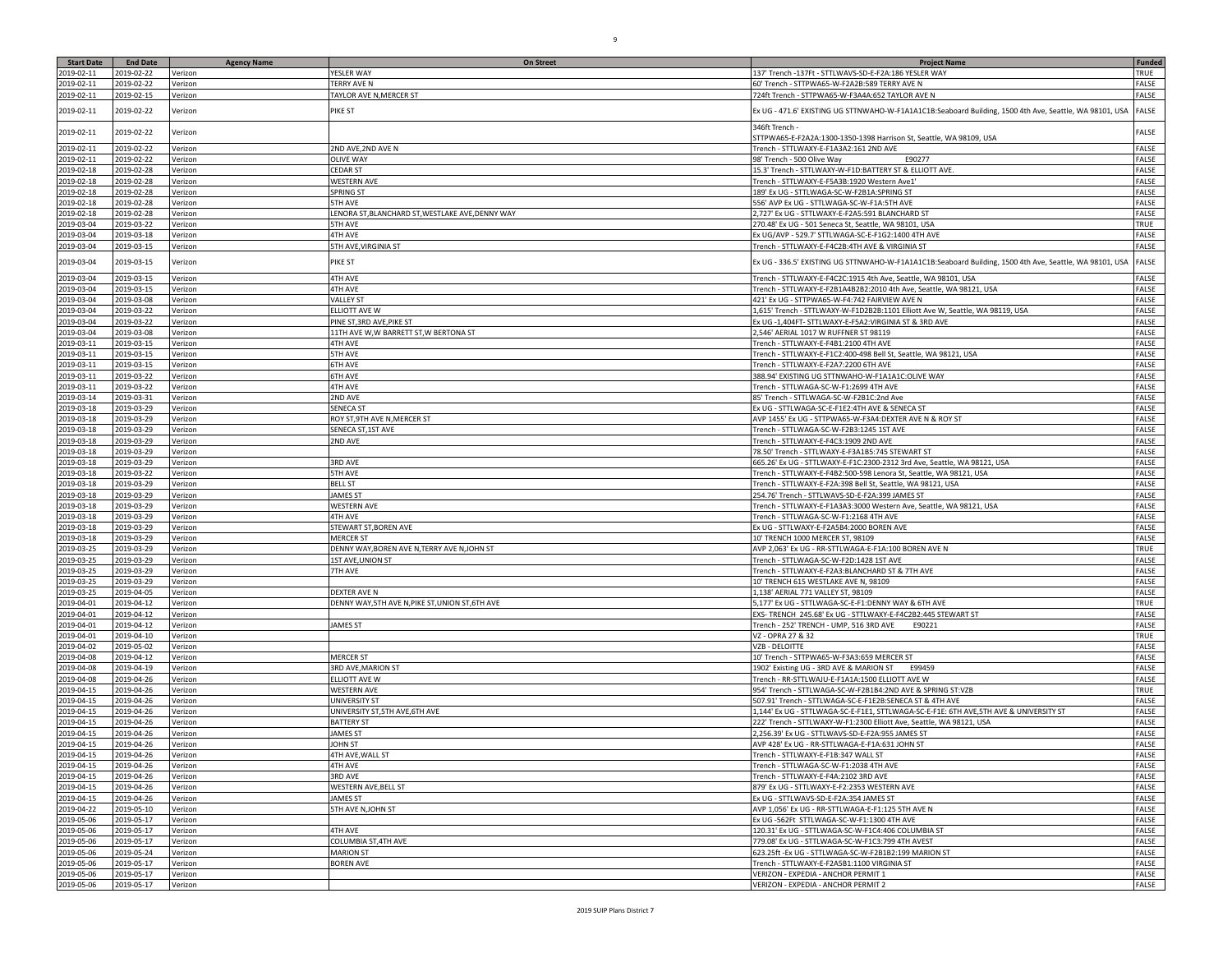| <b>Start Date</b> | <b>End Date</b> | <b>Agency Name</b> | <b>On Street</b>                                 | <b>Project Name</b>                                                                                                                            | <b>Funded</b> |
|-------------------|-----------------|--------------------|--------------------------------------------------|------------------------------------------------------------------------------------------------------------------------------------------------|---------------|
| 2019-02-11        | 2019-02-22      | Verizon            | YESLER WAY                                       | 137' Trench -137Ft - STTLWAVS-SD-E-F2A:186 YESLER WAY                                                                                          | TRUE          |
| 2019-02-11        | 2019-02-22      | Verizon            | TERRY AVE N                                      | 60' Trench - STTPWA65-W-F2A2B:589 TERRY AVE N                                                                                                  | FALSE         |
|                   |                 |                    |                                                  |                                                                                                                                                |               |
| 2019-02-11        | 2019-02-15      | Verizon            | <b>TAYLOR AVE N, MERCER ST</b>                   | 724ft Trench - STTPWA65-W-F3A4A:652 TAYLOR AVE N                                                                                               | FALSE         |
| 2019-02-11        | 2019-02-22      | Verizon            | PIKE ST                                          | Ex UG - 471.6' EXISTING UG STTNWAHO-W-F1A1A1C1B:Seaboard Building, 1500 4th Ave, Seattle, WA 98101, USA                                        | FALSE         |
| 2019-02-11        | 2019-02-22      | Verizon            |                                                  | 346ft Trench -<br>STTPWA65-E-F2A2A:1300-1350-1398 Harrison St, Seattle, WA 98109, USA                                                          | FALSE         |
| 2019-02-11        | 2019-02-22      | Verizon            | 2ND AVE, 2ND AVE N                               | Trench - STTLWAXY-E-F1A3A2:161 2ND AVE                                                                                                         | FALSE         |
| 2019-02-11        | 2019-02-22      | Verizon            | <b>OLIVE WAY</b>                                 | 98' Trench - 500 Olive Way<br>E90277                                                                                                           | <b>FALSE</b>  |
| 2019-02-18        | 2019-02-28      | Verizon            | <b>CEDAR ST</b>                                  | 15.3' Trench - STTLWAXY-W-F1D:BATTERY ST & ELLIOTT AVE.                                                                                        | <b>FALSE</b>  |
| 2019-02-18        | 2019-02-28      | Verizon            | WESTERN AVE                                      | Trench - STTLWAXY-E-F5A3B:1920 Western Ave1                                                                                                    | FALSE         |
| 2019-02-18        | 2019-02-28      | Verizon            | SPRING ST                                        | 189' Ex UG - STTLWAGA-SC-W-F2B1A:SPRING ST                                                                                                     | <b>FALSE</b>  |
| 2019-02-18        | 2019-02-28      | Verizon            | 5TH AVE                                          | 556' AVP Ex UG - STTLWAGA-SC-W-F1A:5TH AVE                                                                                                     | FALSE         |
| 2019-02-18        | 2019-02-28      | Verizon            | ENORA ST, BLANCHARD ST, WESTLAKE AVE, DENNY WAY  | 2,727' Ex UG - STTLWAXY-E-F2A5:591 BLANCHARD ST                                                                                                | FALSE         |
| 2019-03-04        | 2019-03-22      | Verizon            | <b>5TH AVE</b>                                   | 270.48' Ex UG - 501 Seneca St, Seattle, WA 98101, USA                                                                                          | TRUE          |
| 2019-03-04        | 2019-03-18      |                    | 4TH AVE                                          | Ex UG/AVP - 529.7' STTLWAGA-SC-E-F1G2:1400 4TH AVE                                                                                             | FALSE         |
|                   |                 | Verizon            |                                                  | Trench - STTLWAXY-E-F4C2B:4TH AVE & VIRGINIA ST                                                                                                | FALSE         |
| 2019-03-04        | 2019-03-15      | Verizon            | 5TH AVE, VIRGINIA ST                             |                                                                                                                                                |               |
| 2019-03-04        | 2019-03-15      | Verizon            | PIKE ST                                          | Ex UG - 336.5' EXISTING UG STTNWAHO-W-F1A1A1C1B:Seaboard Building, 1500 4th Ave, Seattle, WA 98101, USA                                        | FALSE         |
| 2019-03-04        | 2019-03-15      | Verizon            | 4TH AVE                                          | Trench - STTLWAXY-E-F4C2C:1915 4th Ave. Seattle. WA 98101. USA                                                                                 | FALSE         |
| 2019-03-04        | 2019-03-15      | Verizon            | <b>4TH AVE</b>                                   | Trench - STTLWAXY-E-F2B1A4B2B2:2010 4th Ave, Seattle, WA 98121, USA                                                                            | FALSE         |
| 2019-03-04        | 2019-03-08      | Verizon            | VALLEY ST                                        | 421' Ex UG - STTPWA65-W-F4:742 FAIRVIEW AVE N                                                                                                  | FALSE         |
| 2019-03-04        | 2019-03-22      | Verizon            | <b>ELLIOTT AVE W</b>                             | 1,615' Trench - STTLWAXY-W-F1D2B2B:1101 Elliott Ave W, Seattle, WA 98119, USA                                                                  | <b>FALSE</b>  |
| 2019-03-04        | 2019-03-22      | Verizon            | PINE ST, 3RD AVE, PIKE ST                        | Ex UG -1,404FT- STTLWAXY-E-F5A2:VIRGINIA ST & 3RD AVE                                                                                          | FALSE         |
| 2019-03-04        | 2019-03-08      | Verizon            | 11TH AVE W,W BARRETT ST,W BERTONA ST             | 2,546' AERIAL 1017 W RUFFNER ST 98119                                                                                                          | FALSE         |
| 2019-03-11        | 2019-03-15      | Verizon            | 4TH AVE                                          | Trench - STTLWAXY-E-F4B1:2100 4TH AVE                                                                                                          | <b>FALSE</b>  |
| 2019-03-11        | 2019-03-15      | Verizon            | <b>5TH AVE</b>                                   | Trench - STTLWAXY-E-F1C2:400-498 Bell St, Seattle, WA 98121, USA                                                                               | FALSE         |
| 2019-03-11        | 2019-03-15      | Verizon            | 6TH AVE                                          | Trench - STTLWAXY-E-F2A7:2200 6TH AVE                                                                                                          | FALSE         |
| 2019-03-11        | 2019-03-22      | Verizon            | 6TH AVE                                          | 388.94' EXISTING UG STTNWAHO-W-F1A1A1C:OLIVE WAY                                                                                               | FALSE         |
| 2019-03-11        | 2019-03-22      | Verizon            | <b>4TH AVE</b>                                   | Trench - STTLWAGA-SC-W-F1:2699 4TH AVE                                                                                                         | FALSE         |
| 2019-03-14        | 2019-03-31      | Verizon            | 2ND AVE                                          | 85' Trench - STTLWAGA-SC-W-F2B1C:2nd Ave                                                                                                       | <b>FALSE</b>  |
| 2019-03-18        | 2019-03-29      | Verizon            | <b>SENECA ST</b>                                 | Ex UG - STTLWAGA-SC-E-F1E2:4TH AVE & SENECA ST                                                                                                 | FALSE         |
| 2019-03-18        | 2019-03-29      | Verizon            | ROY ST, 9TH AVE N, MERCER ST                     | AVP 1455' Ex UG - STTPWA65-W-F3A4:DEXTER AVE N & ROY ST                                                                                        | <b>FALSE</b>  |
| 2019-03-18        | 2019-03-29      | Verizon            | SENECA ST, 1ST AVE                               | Trench - STTLWAGA-SC-W-F2B3:1245 1ST AVE                                                                                                       | FALSE         |
| 2019-03-18        | 2019-03-29      | Verizon            | 2ND AVE                                          | Trench - STTLWAXY-E-F4C3:1909 2ND AVE                                                                                                          | FALSE         |
| 2019-03-18        | 2019-03-29      | Verizon            |                                                  | 78.50' Trench - STTLWAXY-E-F3A1B5:745 STEWART ST                                                                                               | FALSE         |
| 2019-03-18        | 2019-03-29      |                    | 3RD AVE                                          |                                                                                                                                                | FALSE         |
| 2019-03-18        |                 | Verizon            |                                                  | 665.26' Ex UG - STTLWAXY-E-F1C:2300-2312 3rd Ave, Seattle, WA 98121, USA<br>Trench - STTLWAXY-E-F4B2:500-598 Lenora St, Seattle, WA 98121, USA | FALSE         |
|                   | 2019-03-22      | Verizon            | <b>5TH AVE</b>                                   |                                                                                                                                                |               |
| 2019-03-18        | 2019-03-29      | Verizon            | <b>BELL ST</b>                                   | Trench - STTLWAXY-E-F2A:398 Bell St, Seattle, WA 98121, USA                                                                                    | FALSE         |
| 2019-03-18        | 2019-03-29      | Verizon            | <b>JAMES ST</b>                                  | 254.76' Trench - STTLWAVS-SD-E-F2A:399 JAMES ST                                                                                                | FALSE         |
| 2019-03-18        | 2019-03-29      | Verizon            | <b>WESTERN AVE</b>                               | Trench - STTLWAXY-E-F1A3A3:3000 Western Ave, Seattle, WA 98121, USA                                                                            | FALSE         |
| 2019-03-18        | 2019-03-29      | Verizon            | 4TH AVE                                          | Trench - STTLWAGA-SC-W-F1:2168 4TH AVE                                                                                                         | FALSE         |
| 2019-03-18        | 2019-03-29      | Verizon            | STEWART ST, BOREN AVE                            | x UG - STTLWAXY-E-F2A5B4:2000 BOREN AVE                                                                                                        | FALSE         |
| 2019-03-18        | 2019-03-29      | Verizon            | <b>MERCER ST</b>                                 | 10' TRENCH 1000 MERCER ST, 98109                                                                                                               | FALSE         |
| 2019-03-25        | 2019-03-29      | Verizon            | DENNY WAY, BOREN AVE N, TERRY AVE N, JOHN ST     | AVP 2,063' Ex UG - RR-STTLWAGA-E-F1A:100 BOREN AVE N                                                                                           | TRUE          |
| 2019-03-25        | 2019-03-29      | Verizon            | 1ST AVE, UNION ST                                | Trench - STTLWAGA-SC-W-F2D:1428 1ST AVE                                                                                                        | FALSE         |
| 2019-03-25        | 2019-03-29      | Verizon            | 7TH AVE                                          | Trench - STTLWAXY-E-F2A3:BLANCHARD ST & 7TH AVE                                                                                                | FALSE         |
| 2019-03-25        | 2019-03-29      | Verizon            |                                                  | 10' TRENCH 615 WESTLAKE AVE N, 98109                                                                                                           | FALSE         |
| 2019-03-25        | 2019-04-05      | Verizon            | DEXTER AVE N                                     | 1,138' AERIAL 771 VALLEY ST, 98109                                                                                                             | FALSE         |
| 2019-04-01        | 2019-04-12      | Verizon            | DENNY WAY, STH AVE N, PIKE ST, UNION ST, 6TH AVE | 5,177' Ex UG - STTLWAGA-SC-E-F1:DENNY WAY & 6TH AVE                                                                                            | TRUE          |
| 2019-04-01        | 2019-04-12      | Verizon            |                                                  | EXS- TRENCH 245.68' Ex UG - STTLWAXY-E-F4C2B2:445 STEWART ST                                                                                   | FALSE         |
| 2019-04-01        | 2019-04-12      | Verizon            | <b>JAMES ST</b>                                  | Trench - 252' TRENCH - UMP, 516 3RD AVE<br>E90221                                                                                              | FALSE         |
| 2019-04-01        | 2019-04-10      | Verizon            |                                                  | VZ - OPRA 27 & 32                                                                                                                              | TRUE          |
| 2019-04-02        | 2019-05-02      | Verizon            |                                                  | VZB - DELOITTE                                                                                                                                 | FALSE         |
| 2019-04-08        | 2019-04-12      | Verizon            | <b>MERCER ST</b>                                 | 10' Trench - STTPWA65-W-F3A3:659 MERCER ST                                                                                                     | FALSE         |
| 2019-04-08        | 2019-04-19      | Verizon            | 3RD AVE, MARION ST                               | 1902' Existing UG - 3RD AVE & MARION ST<br>E99459                                                                                              | FALSE         |
| 2019-04-08        | 2019-04-26      | Verizon            | ELLIOTT AVE W                                    | Trench - RR-STTLWAJU-E-F1A1A:1500 ELLIOTT AVE W                                                                                                | FALSE         |
| 2019-04-15        | 2019-04-26      | Verizon            | <b>WESTERN AVE</b>                               | 954' Trench - STTLWAGA-SC-W-F2B1B4:2ND AVE & SPRING ST:VZB                                                                                     | TRUE          |
| 2019-04-15        | 2019-04-26      | Verizon            | UNIVERSITY ST                                    | 507.91' Trench - STTLWAGA-SC-E-F1E2B:SENECA ST & 4TH AVE                                                                                       | <b>FALSE</b>  |
| 2019-04-15        | 2019-04-26      | Verizon            | JNIVERSITY ST, 5TH AVE, 6TH AVE                  | 1,144' Ex UG - STTLWAGA-SC-E-F1E1, STTLWAGA-SC-E-F1E: 6TH AVE,5TH AVE & UNIVERSITY ST                                                          | FALSE         |
| 2019-04-15        | 2019-04-26      | Verizon            | <b>BATTERY ST</b>                                | 222' Trench - STTLWAXY-W-F1:2300 Elliott Ave, Seattle, WA 98121, USA                                                                           | FALSE         |
| 2019-04-15        | 2019-04-26      | Verizon            | <b>JAMES ST</b>                                  | 2,256.39' Ex UG - STTLWAVS-SD-E-F2A:955 JAMES ST                                                                                               | FALSE         |
| 2019-04-15        | 2019-04-26      | Verizon            | JOHN ST                                          | AVP 428' Ex UG - RR-STTLWAGA-E-F1A:631 JOHN ST                                                                                                 | FALSE         |
| 2019-04-15        | 2019-04-26      | Verizon            | 4TH AVE, WALL ST                                 | Trench - STTLWAXY-E-F1B:347 WALL ST                                                                                                            | FALSE         |
| 2019-04-15        | 2019-04-26      | Verizon            | 4TH AVE                                          | Trench - STTLWAGA-SC-W-F1:2038 4TH AVE                                                                                                         | FALSE         |
| 2019-04-15        | 2019-04-26      | Verizon            | 3RD AVE                                          | Trench - STTLWAXY-E-F4A:2102 3RD AVE                                                                                                           | FALSE         |
| 2019-04-15        | 2019-04-26      | Verizon            | <b>WESTERN AVE, BELL ST</b>                      | 879' Ex UG - STTLWAXY-E-F2:2353 WESTERN AVE                                                                                                    | FALSE         |
| 2019-04-15        | 2019-04-26      | Verizon            | JAMES ST                                         | Ex UG - STTLWAVS-SD-E-F2A:354 JAMES ST                                                                                                         | FALSE         |
| 2019-04-22        | 2019-05-10      | Verizon            | 5TH AVE N, JOHN ST                               | AVP 1,056' Ex UG - RR-STTLWAGA-E-F1:125 5TH AVE N                                                                                              | FALSE         |
| 2019-05-06        | 2019-05-17      | Verizon            |                                                  | Ex UG -562Ft STTLWAGA-SC-W-F1:1300 4TH AVE                                                                                                     | FALSE         |
| 2019-05-06        | 2019-05-17      | Verizon            | 4TH AVE                                          | 120.31' Ex UG - STTLWAGA-SC-W-F1C4:406 COLUMBIA ST                                                                                             | FALSE         |
| 2019-05-06        | 2019-05-17      | Verizon            | COLUMBIA ST,4TH AVE                              | 779.08' Ex UG - STTLWAGA-SC-W-F1C3:799 4TH AVEST                                                                                               | FALSE         |
| 2019-05-06        | 2019-05-24      | Verizon            | <b>MARION ST</b>                                 | 623.25ft - Ex UG - STTLWAGA-SC-W-F2B1B2:199 MARION ST                                                                                          | FALSE         |
| 2019-05-06        | 2019-05-17      | Verizon            | <b>BOREN AVE</b>                                 | Trench - STTLWAXY-E-F2A5B1:1100 VIRGINIA ST                                                                                                    | FALSE         |
| 2019-05-06        | 2019-05-17      | Verizon            |                                                  | VERIZON - EXPEDIA - ANCHOR PERMIT 1                                                                                                            | FALSE         |
| 2019-05-06        | 2019-05-17      |                    |                                                  | VERIZON - EXPEDIA - ANCHOR PERMIT 2                                                                                                            | FALSE         |
|                   |                 | Verizon            |                                                  |                                                                                                                                                |               |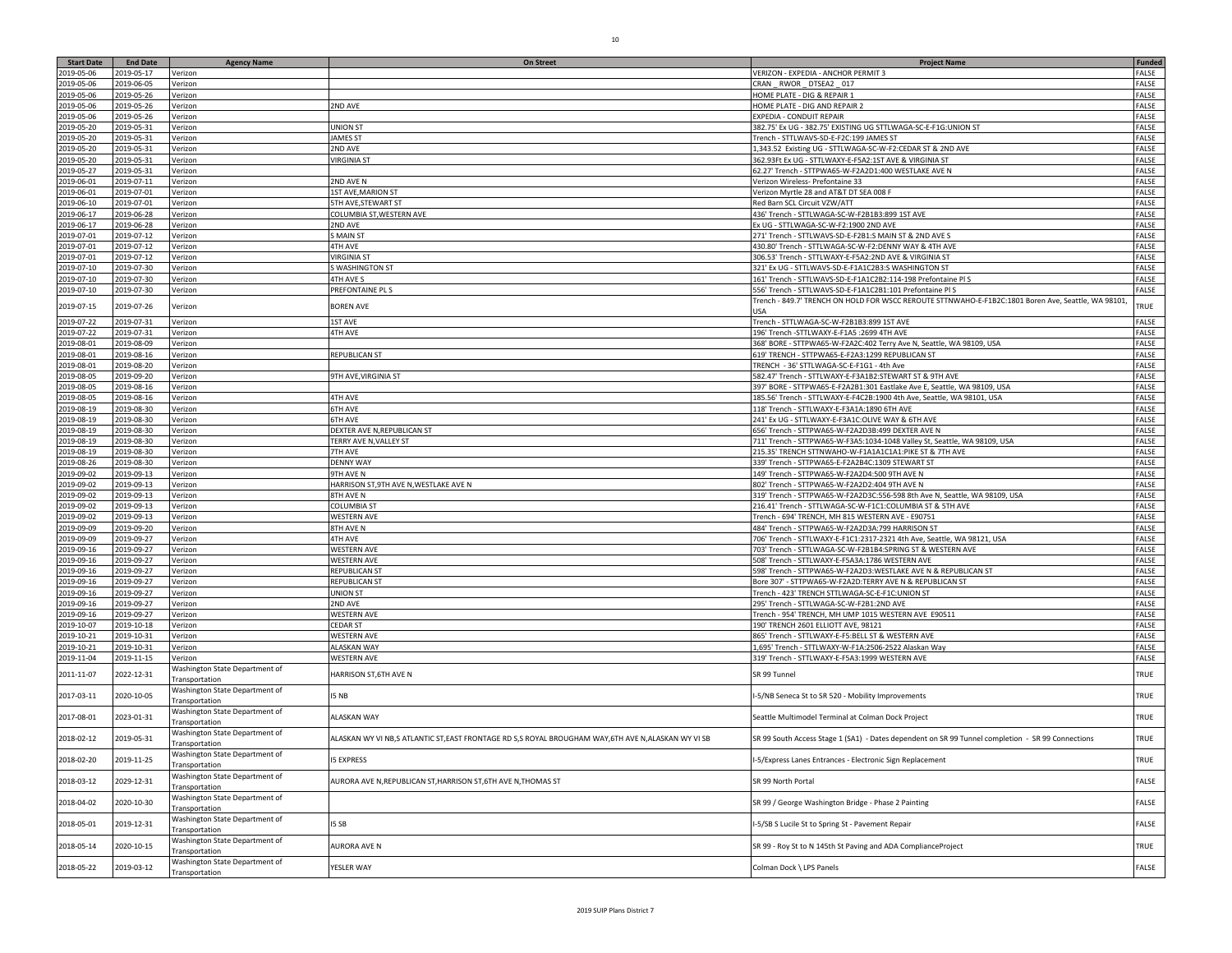| <b>Start Date</b> | <b>End Date</b> | <b>Agency Name</b>                               | <b>On Street</b>                                                                                  | <b>Project Name</b>                                                                                       | <b>Funded</b> |
|-------------------|-----------------|--------------------------------------------------|---------------------------------------------------------------------------------------------------|-----------------------------------------------------------------------------------------------------------|---------------|
| 2019-05-06        | 2019-05-17      | Verizon                                          |                                                                                                   | VERIZON - EXPEDIA - ANCHOR PERMIT 3                                                                       | FALSE         |
| 2019-05-06        | 2019-06-05      | Verizon                                          |                                                                                                   | CRAN _ RWOR _ DTSEA2 _ 017                                                                                | FALSE         |
| 2019-05-06        | 2019-05-26      | Verizon                                          |                                                                                                   | HOME PLATE - DIG & REPAIR 1                                                                               | FALSE         |
| 2019-05-06        | 2019-05-26      | Verizon                                          | 2ND AVE                                                                                           | HOME PLATE - DIG AND REPAIR 2                                                                             | FALSE         |
| 2019-05-06        | 2019-05-26      | Verizon                                          |                                                                                                   | EXPEDIA - CONDUIT REPAIR                                                                                  | FALSE         |
| 2019-05-20        | 2019-05-31      | Verizon                                          | <b>JNION ST</b>                                                                                   | 382.75' Ex UG - 382.75' EXISTING UG STTLWAGA-SC-E-F1G:UNION ST                                            | FALSE         |
| 2019-05-20        | 2019-05-31      | Verizon                                          | <b>JAMES ST</b>                                                                                   | Trench - STTLWAVS-SD-E-F2C:199 JAMES ST                                                                   | FALSE         |
| 2019-05-20        | 2019-05-31      | Verizon                                          | 2ND AVE                                                                                           | 1,343.52 Existing UG - STTLWAGA-SC-W-F2:CEDAR ST & 2ND AVE                                                | FALSE         |
| 2019-05-20        | 2019-05-31      | Verizon                                          | /IRGINIA ST                                                                                       | 362.93Ft Ex UG - STTLWAXY-E-F5A2:1ST AVE & VIRGINIA ST                                                    | FALSE         |
| 2019-05-27        | 2019-05-31      | Verizon                                          |                                                                                                   | 62.27' Trench - STTPWA65-W-F2A2D1:400 WESTLAKE AVE N                                                      | FALSE         |
| 2019-06-01        | 2019-07-11      | Verizon                                          | 2ND AVE N                                                                                         | Verizon Wireless- Prefontaine 33                                                                          | FALSE         |
| 2019-06-01        | 2019-07-01      | Verizon                                          | <b>1ST AVE, MARION ST</b>                                                                         | Verizon Myrtle 28 and AT&T DT SEA 008 F                                                                   | FALSE         |
| 2019-06-10        | 2019-07-01      | Verizon                                          | <b>5TH AVE, STEWART ST</b>                                                                        | Red Barn SCL Circuit VZW/ATT                                                                              | FALSE         |
|                   |                 |                                                  |                                                                                                   |                                                                                                           | FALSE         |
| 2019-06-17        | 2019-06-28      | Verizon                                          | COLUMBIA ST, WESTERN AVE                                                                          | 436' Trench - STTLWAGA-SC-W-F2B1B3:899 1ST AVE                                                            |               |
| 2019-06-17        | 2019-06-28      | Verizon                                          | 2ND AVE                                                                                           | Ex UG - STTLWAGA-SC-W-F2:1900 2ND AVE                                                                     | FALSE         |
| 2019-07-01        | 2019-07-12      | Verizon                                          | <b>SMAINST</b>                                                                                    | 271' Trench - STTLWAVS-SD-E-F2B1:S MAIN ST & 2ND AVE S                                                    | FALSE         |
| 2019-07-01        | 2019-07-12      | Verizon                                          | 4TH AVE                                                                                           | 430.80' Trench - STTLWAGA-SC-W-F2:DENNY WAY & 4TH AVE                                                     | FALSE         |
| 2019-07-01        | 2019-07-12      | Verizon                                          | <b>VIRGINIA ST</b>                                                                                | 306.53' Trench - STTLWAXY-E-F5A2:2ND AVE & VIRGINIA ST                                                    | FALSE         |
| 2019-07-10        | 2019-07-30      | Verizon                                          | WASHINGTON ST                                                                                     | 321' Ex UG - STTLWAVS-SD-E-F1A1C2B3:S WASHINGTON ST                                                       | FALSE         |
| 2019-07-10        | 2019-07-30      | Verizon                                          | 4TH AVE S                                                                                         | 161' Trench - STTLWAVS-SD-E-F1A1C2B2:114-198 Prefontaine PI S                                             | FALSE         |
| 2019-07-10        | 2019-07-30      | Verizon                                          | PREFONTAINE PL S                                                                                  | 556' Trench - STTLWAVS-SD-E-F1A1C2B1:101 Prefontaine PI S                                                 | FALSE         |
| 2019-07-15        | 2019-07-26      | Verizon                                          | <b>BOREN AVE</b>                                                                                  | Trench - 849.7' TRENCH ON HOLD FOR WSCC REROUTE STTNWAHO-E-F1B2C:1801 Boren Ave, Seattle, WA 98101<br>USA | TRUE          |
| 2019-07-22        | 2019-07-31      | Verizon                                          | <b>1ST AVE</b>                                                                                    | Trench - STTLWAGA-SC-W-F2B1B3:899 1ST AVE                                                                 | FALSE         |
| 2019-07-22        | 2019-07-31      | Verizon                                          | 4TH AVE                                                                                           | 196' Trench -STTLWAXY-E-F1A5 :2699 4TH AVE                                                                | FALSE         |
| 2019-08-01        | 2019-08-09      | Verizon                                          |                                                                                                   | 368' BORE - STTPWA65-W-F2A2C:402 Terry Ave N, Seattle, WA 98109, USA                                      | FALSE         |
| 2019-08-01        | 2019-08-16      | Verizon                                          | REPUBLICAN ST                                                                                     | 619' TRENCH - STTPWA65-E-F2A3:1299 REPUBLICAN ST                                                          | FALSE         |
| 2019-08-01        | 2019-08-20      | Verizon                                          |                                                                                                   | TRENCH - 36' STTLWAGA-SC-E-F1G1 - 4th Ave                                                                 | FALSE         |
| 2019-08-05        | 2019-09-20      | Verizon                                          | 9TH AVE, VIRGINIA ST                                                                              | 582.47' Trench - STTLWAXY-E-F3A1B2:STEWART ST & 9TH AVE                                                   | FALSE         |
| 2019-08-05        | 2019-08-16      | Verizon                                          |                                                                                                   | 397' BORE - STTPWA65-E-F2A2B1:301 Eastlake Ave E, Seattle, WA 98109, USA                                  | FALSE         |
| 2019-08-05        | 2019-08-16      | Verizon                                          | 4TH AVE                                                                                           | 185.56' Trench - STTLWAXY-E-F4C2B:1900 4th Ave, Seattle, WA 98101, USA                                    | FALSE         |
| 2019-08-19        | 2019-08-30      | Verizon                                          | <b>6TH AVE</b>                                                                                    | 118' Trench - STTLWAXY-E-F3A1A:1890 6TH AVE                                                               | FALSE         |
| 2019-08-19        | 2019-08-30      | Verizon                                          | 6TH AVE                                                                                           | 241' Ex UG - STTLWAXY-E-F3A1C:OLIVE WAY & 6TH AVE                                                         | FALSE         |
| 2019-08-19        | 2019-08-30      |                                                  | DEXTER AVE N, REPUBLICAN ST                                                                       | 656' Trench - STTPWA65-W-F2A2D3B:499 DEXTER AVE N                                                         | FALSE         |
|                   |                 | Verizon                                          |                                                                                                   |                                                                                                           | FALSE         |
| 2019-08-19        | 2019-08-30      | Verizon                                          | TERRY AVE N, VALLEY ST                                                                            | 711' Trench - STTPWA65-W-F3A5:1034-1048 Valley St, Seattle, WA 98109, USA                                 |               |
| 2019-08-19        | 2019-08-30      | Verizon                                          | 7TH AVE                                                                                           | 215.35' TRENCH STTNWAHO-W-F1A1A1C1A1:PIKE ST & 7TH AVE                                                    | FALSE         |
| 2019-08-26        | 2019-08-30      | Verizon                                          | <b>DENNY WAY</b>                                                                                  | 339' Trench - STTPWA65-E-F2A2B4C:1309 STEWART ST                                                          | FALSE         |
| 2019-09-02        | 2019-09-13      | Verizon                                          | 9TH AVE N                                                                                         | 149' Trench - STTPWA65-W-F2A2D4:500 9TH AVE N                                                             | FALSE         |
| 2019-09-02        | 2019-09-13      | Verizon                                          | HARRISON ST, 9TH AVE N, WESTLAKE AVE N                                                            | 802' Trench - STTPWA65-W-F2A2D2:404 9TH AVE N                                                             | FALSE         |
| 2019-09-02        | 2019-09-13      | Verizon                                          | 8TH AVE N                                                                                         | 319' Trench - STTPWA65-W-F2A2D3C:556-598 8th Ave N, Seattle, WA 98109, USA                                | FALSE         |
| 2019-09-02        | 2019-09-13      | Verizon                                          | COLUMBIA ST                                                                                       | 216.41' Trench - STTLWAGA-SC-W-F1C1:COLUMBIA ST & 5TH AVE                                                 | FALSE         |
| 2019-09-02        | 2019-09-13      | Verizon                                          | <b>WESTERN AVE</b>                                                                                | Trench - 694' TRENCH, MH 815 WESTERN AVE - E90751                                                         | FALSE         |
| 2019-09-09        | 2019-09-20      | Verizon                                          | 8TH AVE N                                                                                         | 484' Trench - STTPWA65-W-F2A2D3A:799 HARRISON ST                                                          | FALSE         |
| 2019-09-09        | 2019-09-27      | Verizon                                          | 4TH AVE                                                                                           | 706' Trench - STTLWAXY-E-F1C1:2317-2321 4th Ave, Seattle, WA 98121, USA                                   | <b>FALSE</b>  |
| 2019-09-16        | 2019-09-27      | Verizon                                          | <b>WESTERN AVE</b>                                                                                | 703' Trench - STTLWAGA-SC-W-F2B1B4:SPRING ST & WESTERN AVE                                                | FALSE         |
| 2019-09-16        | 2019-09-27      | Verizon                                          | WESTERN AVE                                                                                       | 508' Trench - STTLWAXY-E-F5A3A:1786 WESTERN AVE                                                           | FALSE         |
| 2019-09-16        | 2019-09-27      | Verizon                                          | <b>REPUBLICAN ST</b>                                                                              | 598' Trench - STTPWA65-W-F2A2D3:WESTLAKE AVE N & REPUBLICAN ST                                            | FALSE         |
| 2019-09-16        | 2019-09-27      | Verizon                                          | REPUBLICAN ST                                                                                     | Bore 307' - STTPWA65-W-F2A2D:TERRY AVE N & REPUBLICAN ST                                                  | FALSE         |
| 2019-09-16        | 2019-09-27      | Verizon                                          | JNION ST                                                                                          | Trench - 423' TRENCH STTLWAGA-SC-E-F1C:UNION ST                                                           | FALSE         |
| 2019-09-16        | 2019-09-27      | Verizon                                          | 2ND AVE                                                                                           | 295' Trench - STTLWAGA-SC-W-F2B1:2ND AVE                                                                  | FALSE         |
| 2019-09-16        | 2019-09-27      | Verizon                                          | WESTERN AVE                                                                                       | Trench - 954' TRENCH, MH UMP 1015 WESTERN AVE E90511                                                      | FALSE         |
| 2019-10-07        | 2019-10-18      | Verizon                                          | CEDAR ST                                                                                          | 190' TRENCH 2601 ELLIOTT AVE, 98121                                                                       | FALSE         |
| 2019-10-21        | 2019-10-31      | Verizon                                          | <b>WESTERN AVE</b>                                                                                | 865' Trench - STTLWAXY-E-F5:BELL ST & WESTERN AVE                                                         | FALSE         |
| 2019-10-21        | 2019-10-31      | Verizon                                          | <b>ALASKAN WAY</b>                                                                                | 1,695' Trench - STTLWAXY-W-F1A:2506-2522 Alaskan Way                                                      | FALSE         |
| 2019-11-04        | 2019-11-15      | Verizon                                          | WESTERN AVE                                                                                       | 319' Trench - STTLWAXY-E-F5A3:1999 WESTERN AVE                                                            | FALSE         |
| 2011-11-07        | 2022-12-31      | Washington State Department of                   | <b>HARRISON ST,6TH AVE N</b>                                                                      | SR 99 Tunnel                                                                                              | TRUE          |
|                   |                 | Transportation<br>Washington State Department of | I5 NB                                                                                             |                                                                                                           | TRUE          |
| 2017-03-11        | 2020-10-05      | Transportation<br>Washington State Department of |                                                                                                   | -5/NB Seneca St to SR 520 - Mobility Improvements                                                         |               |
| 2017-08-01        | 2023-01-31      | Transportation                                   | <b>ALASKAN WAY</b>                                                                                | Seattle Multimodel Terminal at Colman Dock Project                                                        | TRUE          |
| 2018-02-12        | 2019-05-31      | Washington State Department of<br>Transportation | ALASKAN WY VI NB,S ATLANTIC ST,EAST FRONTAGE RD S,S ROYAL BROUGHAM WAY,6TH AVE N,ALASKAN WY VI SB | SR 99 South Access Stage 1 (SA1) - Dates dependent on SR 99 Tunnel completion - SR 99 Connections         | TRUE          |
| 2018-02-20        | 2019-11-25      | Washington State Department of<br>Transportation | <b>IS EXPRESS</b>                                                                                 | -5/Express Lanes Entrances - Electronic Sign Replacement                                                  | TRUE          |
| 2018-03-12        | 2029-12-31      | Washington State Department of<br>Transportation | AURORA AVE N.REPUBLICAN ST.HARRISON ST.6TH AVE N.THOMAS ST                                        | SR 99 North Portal                                                                                        | FALSE         |
| 2018-04-02        | 2020-10-30      | Washington State Department of                   |                                                                                                   | SR 99 / George Washington Bridge - Phase 2 Painting                                                       | FALSE         |
| 2018-05-01        | 2019-12-31      | Transportation<br>Washington State Department of | I5 SB                                                                                             | -5/SB S Lucile St to Spring St - Pavement Repair                                                          | FALSE         |
|                   |                 | Transportation<br>Washington State Department of |                                                                                                   |                                                                                                           |               |
| 2018-05-14        | 2020-10-15      | Transportation<br>Washington State Department of | <b>NURORA AVE N</b>                                                                               | SR 99 - Roy St to N 145th St Paving and ADA ComplianceProject                                             | TRUE          |
| 2018-05-22        | 2019-03-12      | Transportation                                   | YESLER WAY                                                                                        | Colman Dock \ LPS Panels                                                                                  | FALSE         |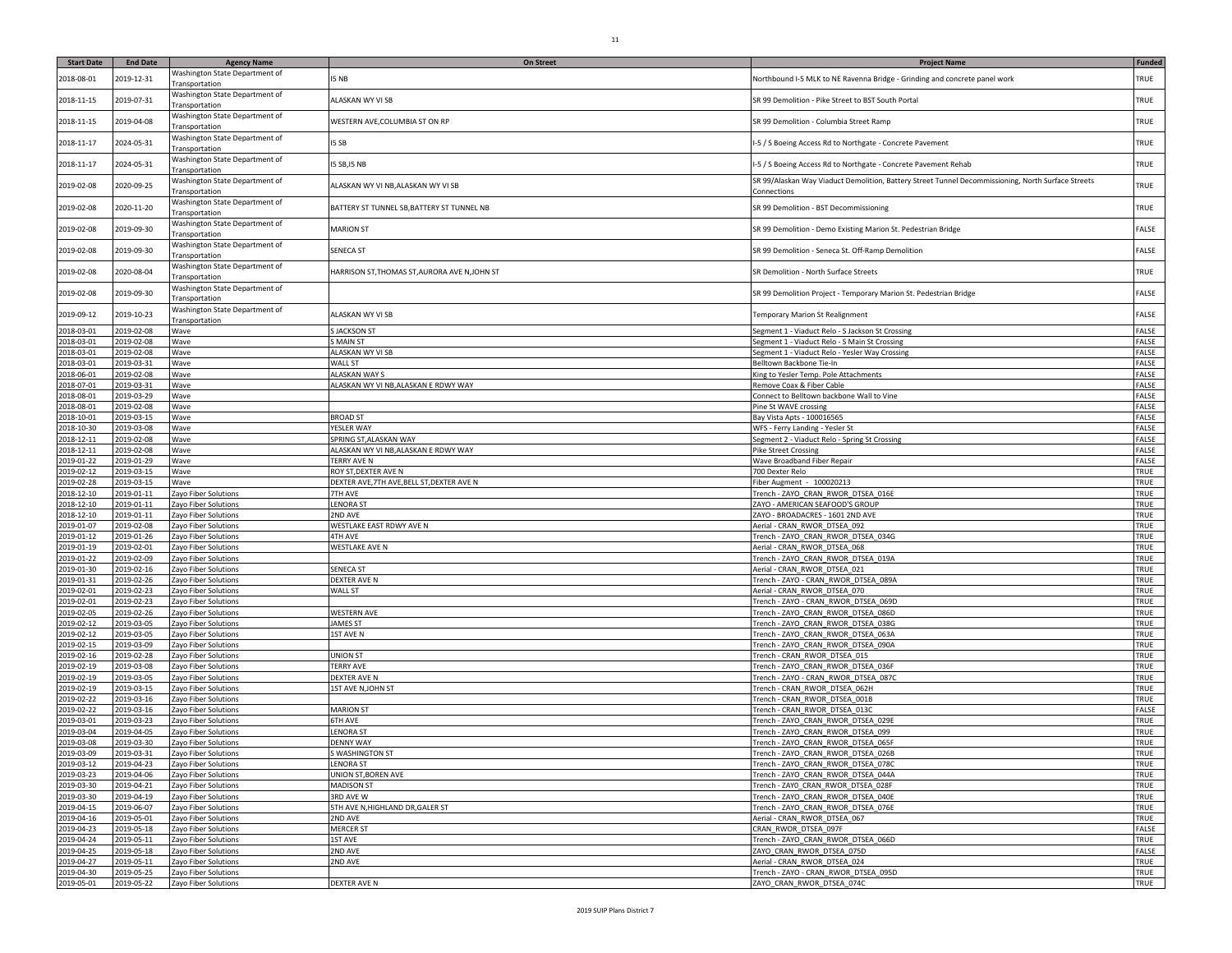| <b>Start Date</b>        | <b>End Date</b>          | <b>Agency Name</b>                               | <b>On Street</b>                               | <b>Project Name</b>                                                                                               | <b>Funded</b>  |
|--------------------------|--------------------------|--------------------------------------------------|------------------------------------------------|-------------------------------------------------------------------------------------------------------------------|----------------|
| 2018-08-01               | 2019-12-31               | Washington State Department of<br>Transportation | 5 NB                                           | Northbound I-5 MLK to NE Ravenna Bridge - Grinding and concrete panel work                                        | TRUE           |
| 2018-11-15               | 2019-07-31               | Washington State Department of<br>Transportation | <b>ALASKAN WY VI SB</b>                        | SR 99 Demolition - Pike Street to BST South Portal                                                                | TRUE           |
| 2018-11-15               | 2019-04-08               | Washington State Department of<br>Transportation | WESTERN AVE, COLUMBIA ST ON RP                 | SR 99 Demolition - Columbia Street Ramp                                                                           | TRUE           |
| 2018-11-17               | 2024-05-31               | Washington State Department of<br>Transportation | I5 SB                                          | -5 / S Boeing Access Rd to Northgate - Concrete Pavement                                                          | TRUE           |
| 2018-11-17               | 2024-05-31               | Washington State Department of<br>Transportation | 15 SB, 15 NB                                   | -5 / S Boeing Access Rd to Northgate - Concrete Pavement Rehab                                                    | TRUE           |
| 2019-02-08               | 2020-09-25               | Washington State Department of<br>Transportation | ALASKAN WY VI NB,ALASKAN WY VI SB              | SR 99/Alaskan Way Viaduct Demolition, Battery Street Tunnel Decommissioning, North Surface Streets<br>Connections | TRUE           |
| 2019-02-08               | 2020-11-20               | Washington State Department of<br>Transportation | BATTERY ST TUNNEL SB, BATTERY ST TUNNEL NB     | SR 99 Demolition - BST Decommissioning                                                                            | TRUE           |
| 2019-02-08               | 2019-09-30               | Washington State Department of<br>Transportation | <b>MARION ST</b>                               | SR 99 Demolition - Demo Existing Marion St. Pedestrian Bridge                                                     | FALSE          |
| 2019-02-08               | 2019-09-30               | Washington State Department of<br>Transportation | <b>SENECA ST</b>                               | SR 99 Demolition - Seneca St. Off-Ramp Demolition                                                                 | FALSE          |
| 2019-02-08               | 2020-08-04               | Washington State Department of                   | HARRISON ST, THOMAS ST, AURORA AVE N, JOHN ST  | SR Demolition - North Surface Streets                                                                             | TRUE           |
| 2019-02-08               | 2019-09-30               | ransportation<br>Washington State Department of  |                                                | SR 99 Demolition Project - Temporary Marion St. Pedestrian Bridge                                                 | FALSE          |
| 2019-09-12               | 2019-10-23               | Transportation<br>Washington State Department of | <b>ALASKAN WY VI SB</b>                        | Temporary Marion St Realignment                                                                                   | FALSE          |
| 2018-03-01               | 2019-02-08               | Transportation<br>Wave                           | <b>SJACKSON ST</b>                             | Segment 1 - Viaduct Relo - S Jackson St Crossing                                                                  | FALSE          |
| 2018-03-01               | 2019-02-08               | Wave                                             | <b>MAIN ST</b>                                 | Segment 1 - Viaduct Relo - S Main St Crossing                                                                     | FALSE          |
| 2018-03-01               | 2019-02-08               | Wave                                             | ALASKAN WY VI SB                               | Segment 1 - Viaduct Relo - Yesler Way Crossing                                                                    | FALSE          |
| 2018-03-01               | 2019-03-31               | Wave                                             | WALL ST                                        | Belltown Backbone Tie-In                                                                                          | FALSE          |
| 2018-06-01               | 2019-02-08               | Wave                                             | ALASKAN WAY S                                  | King to Yesler Temp. Pole Attachments                                                                             | FALSE          |
| 2018-07-01               | 2019-03-31               | Wave                                             | ALASKAN WY VI NB,ALASKAN E RDWY WAY            | Remove Coax & Fiber Cable                                                                                         | FALSE          |
| 2018-08-01               | 2019-03-29               | Wave                                             |                                                | Connect to Belltown backbone Wall to Vine                                                                         | FALSE          |
| 2018-08-01               | 2019-02-08               | Wave                                             |                                                | Pine St WAVE crossing                                                                                             | FALSE<br>FALSE |
| 2018-10-01<br>2018-10-30 | 2019-03-15<br>2019-03-08 | Wave<br>Wave                                     | <b>BROAD ST</b><br>YESLER WAY                  | Bay Vista Apts - 100016565<br>WFS - Ferry Landing - Yesler St                                                     | FALSE          |
| 2018-12-11               | 2019-02-08               | Wave                                             | SPRING ST, ALASKAN WAY                         | Segment 2 - Viaduct Relo - Spring St Crossing                                                                     | FALSE          |
| 2018-12-11               | 2019-02-08               | Wave                                             | ALASKAN WY VI NB,ALASKAN E RDWY WAY            | <b>Pike Street Crossing</b>                                                                                       | FALSE          |
| 2019-01-22               | 2019-01-29               | Wave                                             | TERRY AVE N                                    | Wave Broadband Fiber Repair                                                                                       | FALSE          |
| 2019-02-12               | 2019-03-15               | Wave                                             | ROY ST, DEXTER AVE N                           | 700 Dexter Relo                                                                                                   | TRUE           |
| 2019-02-28               | 2019-03-15               | Wave                                             | DEXTER AVE, 7TH AVE, BELL ST, DEXTER AVE N     | iber Augment - 100020213                                                                                          | TRUE           |
| 2018-12-10               | 2019-01-11               | Zayo Fiber Solutions                             | <b>TH AVE</b>                                  | Trench - ZAYO_CRAN_RWOR_DTSEA_016E                                                                                | TRUE           |
| 2018-12-10               | 2019-01-11               | Zayo Fiber Solutions                             | <b>ENORA ST</b>                                | ZAYO - AMERICAN SEAFOOD'S GROUP                                                                                   | TRUE           |
| 2018-12-10               | 2019-01-11               | Zayo Fiber Solutions                             | 2ND AVE                                        | ZAYO - BROADACRES - 1601 2ND AVE                                                                                  | TRUE           |
| 2019-01-07               | 2019-02-08               | Zayo Fiber Solutions                             | WESTLAKE EAST RDWY AVE N                       | Aerial - CRAN_RWOR_DTSEA_092                                                                                      | TRUE           |
| 2019-01-12               | 2019-01-26               | Zayo Fiber Solutions                             | 4TH AVE                                        | Trench - ZAYO_CRAN_RWOR_DTSEA_034G                                                                                | TRUE           |
| 2019-01-19<br>2019-01-22 | 2019-02-01<br>2019-02-09 | Zayo Fiber Solutions<br>Zayo Fiber Solutions     | WESTLAKE AVE N                                 | Aerial - CRAN_RWOR_DTSEA_068<br>Trench - ZAYO_CRAN_RWOR_DTSEA_019A                                                | TRUE<br>TRUE   |
| 2019-01-30               | 2019-02-16               | Zayo Fiber Solutions                             | SENECA ST                                      | Aerial - CRAN_RWOR_DTSEA_021                                                                                      | TRUE           |
| 2019-01-31               | 2019-02-26               | Zayo Fiber Solutions                             | <b>DEXTER AVE N</b>                            | Trench - ZAYO - CRAN_RWOR_DTSEA_089A                                                                              | TRUE           |
| 2019-02-01               | 2019-02-23               | Zayo Fiber Solutions                             | <b>WALL ST</b>                                 | Aerial - CRAN_RWOR_DTSEA_070                                                                                      | TRUE           |
| 2019-02-01               | 2019-02-23               | Zayo Fiber Solutions                             |                                                | Trench - ZAYO - CRAN_RWOR_DTSEA_069D                                                                              | TRUE           |
| 2019-02-05               | 2019-02-26               | Zayo Fiber Solutions                             | <b>WESTERN AVE</b>                             | Trench - ZAYO_CRAN_RWOR_DTSEA_086D                                                                                | TRUE           |
| 2019-02-12               | 2019-03-05               | Zayo Fiber Solutions                             | <b>JAMES ST</b>                                | Trench - ZAYO_CRAN_RWOR_DTSEA_038G                                                                                | TRUE           |
| 2019-02-12               | 2019-03-05               | Zayo Fiber Solutions                             | <b>IST AVE N</b>                               | Trench - ZAYO_CRAN_RWOR_DTSEA_063A                                                                                | TRUE           |
| 2019-02-15               | 2019-03-09               | Zayo Fiber Solutions                             |                                                | Trench - ZAYO_CRAN_RWOR_DTSEA_090A                                                                                | TRUE           |
| 2019-02-16               | 2019-02-28               | Zayo Fiber Solutions                             | <b>JNION ST</b>                                | French - CRAN RWOR DTSEA 015                                                                                      | TRUE           |
| 2019-02-19<br>2019-02-19 | 2019-03-08<br>2019-03-05 | Zayo Fiber Solutions<br>Zayo Fiber Solutions     | <b><i>TERRY AVE</i></b><br><b>DEXTER AVE N</b> | Trench - ZAYO_CRAN_RWOR_DTSEA_036F<br>Trench - ZAYO - CRAN_RWOR_DTSEA_087C                                        | TRUE<br>TRUE   |
| 2019-02-19               | 2019-03-15               | Zayo Fiber Solutions                             | 1ST AVE N, JOHN ST                             | Trench - CRAN RWOR DTSEA 062H                                                                                     | TRUE           |
| 2019-02-22               | 2019-03-16               | Zayo Fiber Solutions                             |                                                | Trench - CRAN RWOR DTSEA 001B                                                                                     | TRUE           |
| 2019-02-22               | 2019-03-16               | Zayo Fiber Solutions                             | <b>MARION ST</b>                               | Trench - CRAN RWOR DTSEA 013C                                                                                     | FALSE          |
| 2019-03-01               | 2019-03-23               | Zayo Fiber Solutions                             | <b>5TH AVE</b>                                 | Trench - ZAYO_CRAN_RWOR_DTSEA_029E                                                                                | TRUE           |
| 2019-03-04               | 2019-04-05               | Zayo Fiber Solutions                             | <b>ENORA ST</b>                                | Trench - ZAYO_CRAN_RWOR_DTSEA_099                                                                                 | TRUE           |
| 2019-03-08               | 2019-03-30               | Zayo Fiber Solutions                             | <b>DENNY WAY</b>                               | Trench - ZAYO_CRAN_RWOR_DTSEA_065F                                                                                | TRUE           |
| 2019-03-09               | 2019-03-31               | Zayo Fiber Solutions                             | <b>SWASHINGTON ST</b>                          | French - ZAYO CRAN RWOR DTSEA 026B                                                                                | TRUE           |
| 2019-03-12               | 2019-04-23               | Zayo Fiber Solutions                             | <b>LENORA ST</b>                               | Trench - ZAYO_CRAN_RWOR_DTSEA_078C                                                                                | TRUE           |
| 2019-03-23               | 2019-04-06               | Zayo Fiber Solutions                             | UNION ST, BOREN AVE                            | Trench - ZAYO_CRAN_RWOR_DTSEA_044A                                                                                | TRUE           |
| 2019-03-30               | 2019-04-21               | Zayo Fiber Solutions                             | <b>MADISON ST</b>                              | Trench - ZAYO_CRAN_RWOR_DTSEA_028F                                                                                | TRUE           |
| 2019-03-30<br>2019-04-15 | 2019-04-19               | Zayo Fiber Solutions                             | 3RD AVE W                                      | Trench - ZAYO CRAN RWOR DTSEA 040E                                                                                | TRUE           |
| 2019-04-16               | 2019-06-07<br>2019-05-01 | Zayo Fiber Solutions<br>Zayo Fiber Solutions     | 5TH AVE N, HIGHLAND DR, GALER ST<br>2ND AVE    | Trench - ZAYO_CRAN_RWOR_DTSEA_076E<br>Aerial - CRAN_RWOR_DTSEA_067                                                | TRUE<br>TRUE   |
| 2019-04-23               | 2019-05-18               | Zayo Fiber Solutions                             | <b>MERCER ST</b>                               | CRAN RWOR DTSEA 097F                                                                                              | FALSE          |
| 2019-04-24               | 2019-05-11               | Zayo Fiber Solutions                             | 1ST AVE                                        | Trench - ZAYO CRAN RWOR DTSEA 066D                                                                                | TRUE           |
| 2019-04-25               | 2019-05-18               | Zayo Fiber Solutions                             | 2ND AVE                                        | ZAYO_CRAN_RWOR_DTSEA_075D                                                                                         | FALSE          |
| 2019-04-27               | 2019-05-11               | Zayo Fiber Solutions                             | 2ND AVE                                        | Aerial - CRAN RWOR DTSEA 024                                                                                      | TRUE           |
| 2019-04-30               | 2019-05-25               | Zayo Fiber Solutions                             |                                                | Trench - ZAYO - CRAN_RWOR_DTSEA_095D                                                                              | TRUE           |
| 2019-05-01               | 2019-05-22               | Zayo Fiber Solutions                             | DEXTER AVE N                                   | ZAYO_CRAN_RWOR_DTSEA_074C                                                                                         | TRUE           |